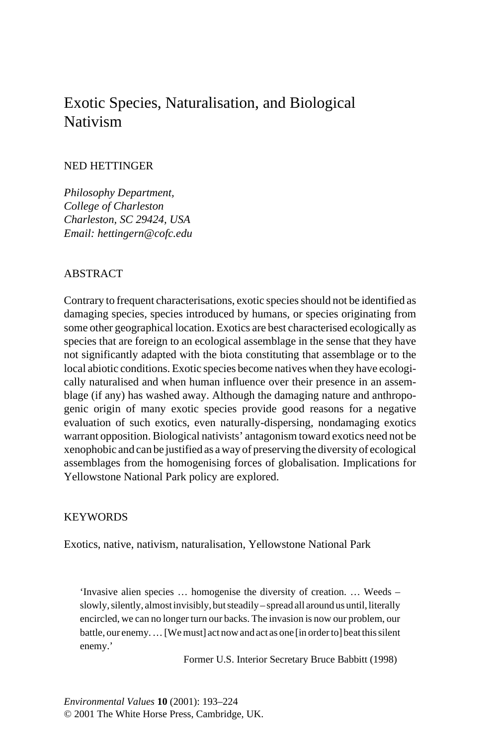# Exotic Species, Naturalisation, and Biological Nativism

# NED HETTINGER

*Philosophy Department, College of Charleston Charleston, SC 29424, USA Email: hettingern@cofc.edu*

# ABSTRACT

Contrary to frequent characterisations, exotic species should not be identified as damaging species, species introduced by humans, or species originating from some other geographical location. Exotics are best characterised ecologically as species that are foreign to an ecological assemblage in the sense that they have not significantly adapted with the biota constituting that assemblage or to the local abiotic conditions. Exotic species become natives when they have ecologically naturalised and when human influence over their presence in an assemblage (if any) has washed away. Although the damaging nature and anthropogenic origin of many exotic species provide good reasons for a negative evaluation of such exotics, even naturally-dispersing, nondamaging exotics warrant opposition. Biological nativists' antagonism toward exotics need not be xenophobic and can be justified as a way of preserving the diversity of ecological assemblages from the homogenising forces of globalisation. Implications for Yellowstone National Park policy are explored.

# **KEYWORDS**

Exotics, native, nativism, naturalisation, Yellowstone National Park

'Invasive alien species … homogenise the diversity of creation. … Weeds – slowly, silently, almost invisibly, but steadily – spread all around us until, literally encircled, we can no longer turn our backs. The invasion is now our problem, our battle, our enemy. … [We must] act now and act as one [in order to] beat this silent enemy.'

Former U.S. Interior Secretary Bruce Babbitt (1998)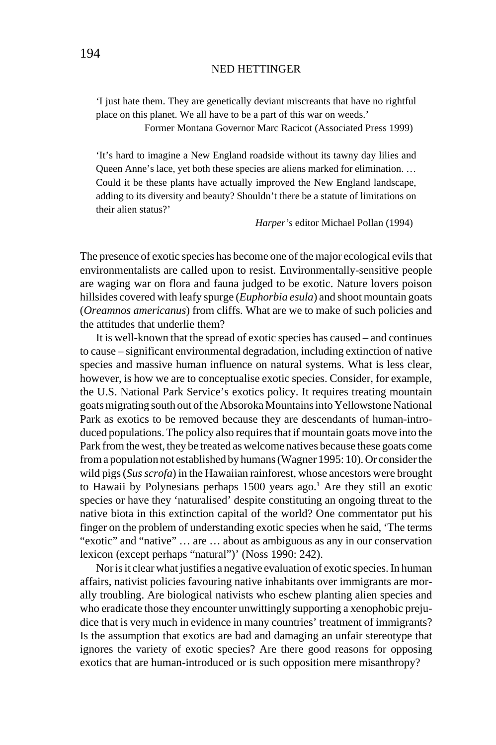'I just hate them. They are genetically deviant miscreants that have no rightful place on this planet. We all have to be a part of this war on weeds.'

Former Montana Governor Marc Racicot (Associated Press 1999)

'It's hard to imagine a New England roadside without its tawny day lilies and Queen Anne's lace, yet both these species are aliens marked for elimination. … Could it be these plants have actually improved the New England landscape, adding to its diversity and beauty? Shouldn't there be a statute of limitations on their alien status?'

*Harper's* editor Michael Pollan (1994)

The presence of exotic species has become one of the major ecological evils that environmentalists are called upon to resist. Environmentally-sensitive people are waging war on flora and fauna judged to be exotic. Nature lovers poison hillsides covered with leafy spurge (*Euphorbia esula*) and shoot mountain goats (*Oreamnos americanus*) from cliffs. What are we to make of such policies and the attitudes that underlie them?

It is well-known that the spread of exotic species has caused – and continues to cause – significant environmental degradation, including extinction of native species and massive human influence on natural systems. What is less clear, however, is how we are to conceptualise exotic species. Consider, for example, the U.S. National Park Service's exotics policy. It requires treating mountain goats migrating south out of the Absoroka Mountains into Yellowstone National Park as exotics to be removed because they are descendants of human-introduced populations. The policy also requires that if mountain goats move into the Park from the west, they be treated as welcome natives because these goats come from a population not established by humans (Wagner 1995: 10). Or consider the wild pigs (*Sus scrofa*) in the Hawaiian rainforest, whose ancestors were brought to Hawaii by Polynesians perhaps 1500 years ago.<sup>1</sup> Are they still an exotic species or have they 'naturalised' despite constituting an ongoing threat to the native biota in this extinction capital of the world? One commentator put his finger on the problem of understanding exotic species when he said, 'The terms "exotic" and "native" … are … about as ambiguous as any in our conservation lexicon (except perhaps "natural")' (Noss 1990: 242).

Nor is it clear what justifies a negative evaluation of exotic species. In human affairs, nativist policies favouring native inhabitants over immigrants are morally troubling. Are biological nativists who eschew planting alien species and who eradicate those they encounter unwittingly supporting a xenophobic prejudice that is very much in evidence in many countries' treatment of immigrants? Is the assumption that exotics are bad and damaging an unfair stereotype that ignores the variety of exotic species? Are there good reasons for opposing exotics that are human-introduced or is such opposition mere misanthropy?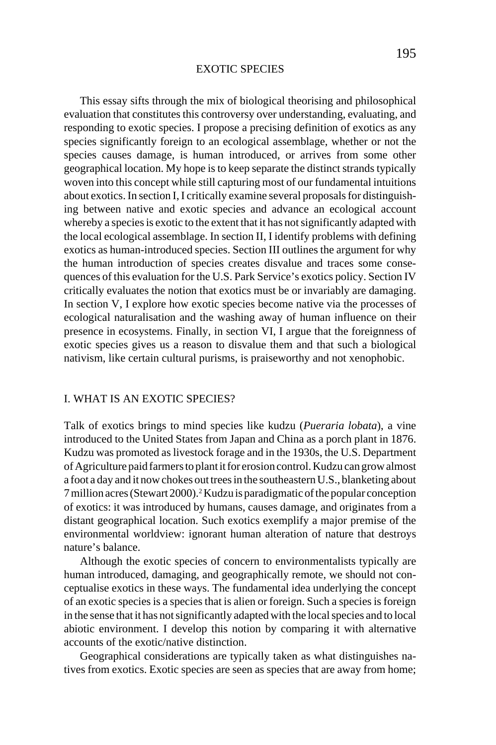This essay sifts through the mix of biological theorising and philosophical evaluation that constitutes this controversy over understanding, evaluating, and responding to exotic species. I propose a precising definition of exotics as any species significantly foreign to an ecological assemblage, whether or not the species causes damage, is human introduced, or arrives from some other geographical location. My hope is to keep separate the distinct strands typically woven into this concept while still capturing most of our fundamental intuitions about exotics. In section I, I critically examine several proposals for distinguishing between native and exotic species and advance an ecological account whereby a species is exotic to the extent that it has not significantly adapted with the local ecological assemblage. In section II, I identify problems with defining exotics as human-introduced species. Section III outlines the argument for why the human introduction of species creates disvalue and traces some consequences of this evaluation for the U.S. Park Service's exotics policy. Section IV critically evaluates the notion that exotics must be or invariably are damaging. In section V, I explore how exotic species become native via the processes of ecological naturalisation and the washing away of human influence on their presence in ecosystems. Finally, in section VI, I argue that the foreignness of exotic species gives us a reason to disvalue them and that such a biological nativism, like certain cultural purisms, is praiseworthy and not xenophobic.

# I. WHAT IS AN EXOTIC SPECIES?

Talk of exotics brings to mind species like kudzu (*Pueraria lobata*), a vine introduced to the United States from Japan and China as a porch plant in 1876. Kudzu was promoted as livestock forage and in the 1930s, the U.S. Department of Agriculture paid farmers to plant it for erosion control. Kudzu can grow almost a foot a day and it now chokes out trees in the southeastern U.S., blanketing about 7 million acres (Stewart 2000).<sup>2</sup> Kudzu is paradigmatic of the popular conception of exotics: it was introduced by humans, causes damage, and originates from a distant geographical location. Such exotics exemplify a major premise of the environmental worldview: ignorant human alteration of nature that destroys nature's balance.

Although the exotic species of concern to environmentalists typically are human introduced, damaging, and geographically remote, we should not conceptualise exotics in these ways. The fundamental idea underlying the concept of an exotic species is a species that is alien or foreign. Such a species is foreign in the sense that it has not significantly adapted with the local species and to local abiotic environment. I develop this notion by comparing it with alternative accounts of the exotic/native distinction.

Geographical considerations are typically taken as what distinguishes natives from exotics. Exotic species are seen as species that are away from home;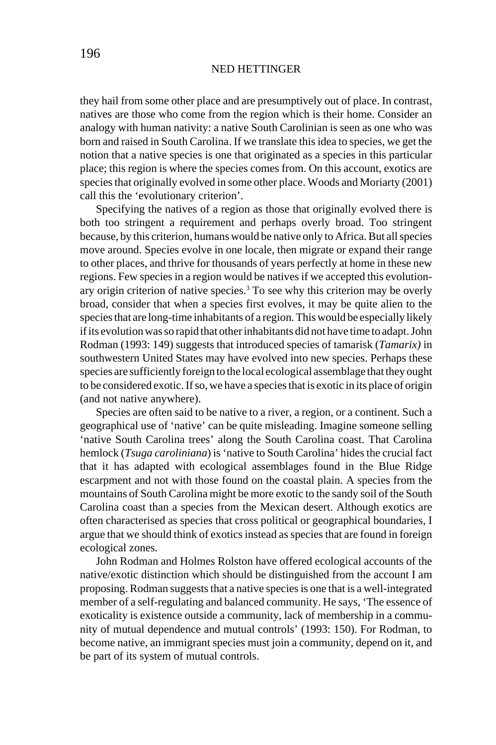they hail from some other place and are presumptively out of place. In contrast, natives are those who come from the region which is their home. Consider an analogy with human nativity: a native South Carolinian is seen as one who was born and raised in South Carolina. If we translate this idea to species, we get the notion that a native species is one that originated as a species in this particular place; this region is where the species comes from. On this account, exotics are species that originally evolved in some other place. Woods and Moriarty (2001) call this the 'evolutionary criterion'.

Specifying the natives of a region as those that originally evolved there is both too stringent a requirement and perhaps overly broad. Too stringent because, by this criterion, humans would be native only to Africa. But all species move around. Species evolve in one locale, then migrate or expand their range to other places, and thrive for thousands of years perfectly at home in these new regions. Few species in a region would be natives if we accepted this evolutionary origin criterion of native species.<sup>3</sup> To see why this criterion may be overly broad, consider that when a species first evolves, it may be quite alien to the species that are long-time inhabitants of a region. This would be especially likely if its evolution was so rapid that other inhabitants did not have time to adapt. John Rodman (1993: 149) suggests that introduced species of tamarisk (*Tamarix)* in southwestern United States may have evolved into new species. Perhaps these species are sufficiently foreign to the local ecological assemblage that they ought to be considered exotic. If so, we have a species that is exotic in its place of origin (and not native anywhere).

Species are often said to be native to a river, a region, or a continent. Such a geographical use of 'native' can be quite misleading. Imagine someone selling 'native South Carolina trees' along the South Carolina coast. That Carolina hemlock (*Tsuga caroliniana*) is 'native to South Carolina' hides the crucial fact that it has adapted with ecological assemblages found in the Blue Ridge escarpment and not with those found on the coastal plain. A species from the mountains of South Carolina might be more exotic to the sandy soil of the South Carolina coast than a species from the Mexican desert. Although exotics are often characterised as species that cross political or geographical boundaries, I argue that we should think of exotics instead as species that are found in foreign ecological zones.

John Rodman and Holmes Rolston have offered ecological accounts of the native/exotic distinction which should be distinguished from the account I am proposing. Rodman suggests that a native species is one that is a well-integrated member of a self-regulating and balanced community. He says, 'The essence of exoticality is existence outside a community, lack of membership in a community of mutual dependence and mutual controls' (1993: 150). For Rodman, to become native, an immigrant species must join a community, depend on it, and be part of its system of mutual controls.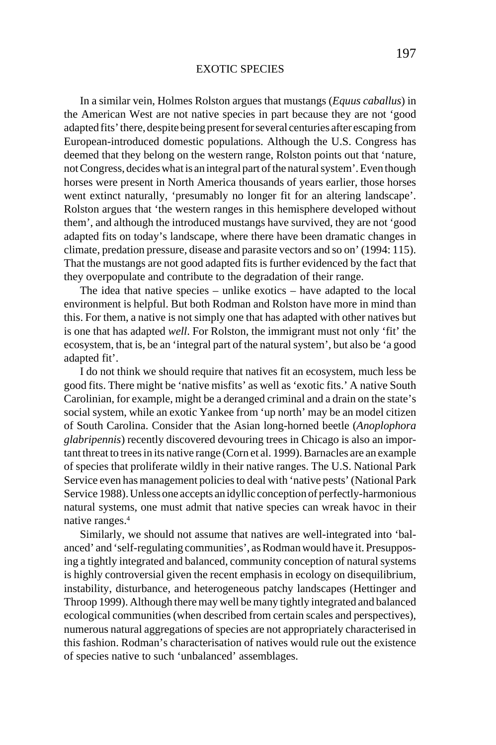In a similar vein, Holmes Rolston argues that mustangs (*Equus caballus*) in the American West are not native species in part because they are not 'good adapted fits' there, despite being present for several centuries after escaping from European-introduced domestic populations. Although the U.S. Congress has deemed that they belong on the western range, Rolston points out that 'nature, not Congress, decides what is an integral part of the natural system'. Even though horses were present in North America thousands of years earlier, those horses went extinct naturally, 'presumably no longer fit for an altering landscape'. Rolston argues that 'the western ranges in this hemisphere developed without them', and although the introduced mustangs have survived, they are not 'good adapted fits on today's landscape, where there have been dramatic changes in climate, predation pressure, disease and parasite vectors and so on' (1994: 115). That the mustangs are not good adapted fits is further evidenced by the fact that they overpopulate and contribute to the degradation of their range.

The idea that native species – unlike exotics – have adapted to the local environment is helpful. But both Rodman and Rolston have more in mind than this. For them, a native is not simply one that has adapted with other natives but is one that has adapted *well*. For Rolston, the immigrant must not only 'fit' the ecosystem, that is, be an 'integral part of the natural system', but also be 'a good adapted fit'.

I do not think we should require that natives fit an ecosystem, much less be good fits. There might be 'native misfits' as well as 'exotic fits.' A native South Carolinian, for example, might be a deranged criminal and a drain on the state's social system, while an exotic Yankee from 'up north' may be an model citizen of South Carolina. Consider that the Asian long-horned beetle (*Anoplophora glabripennis*) recently discovered devouring trees in Chicago is also an important threat to trees in its native range (Corn et al. 1999). Barnacles are an example of species that proliferate wildly in their native ranges. The U.S. National Park Service even has management policies to deal with 'native pests' (National Park Service 1988). Unless one accepts an idyllic conception of perfectly-harmonious natural systems, one must admit that native species can wreak havoc in their native ranges.4

Similarly, we should not assume that natives are well-integrated into 'balanced' and 'self-regulating communities', as Rodman would have it. Presupposing a tightly integrated and balanced, community conception of natural systems is highly controversial given the recent emphasis in ecology on disequilibrium, instability, disturbance, and heterogeneous patchy landscapes (Hettinger and Throop 1999). Although there may well be many tightly integrated and balanced ecological communities (when described from certain scales and perspectives), numerous natural aggregations of species are not appropriately characterised in this fashion. Rodman's characterisation of natives would rule out the existence of species native to such 'unbalanced' assemblages.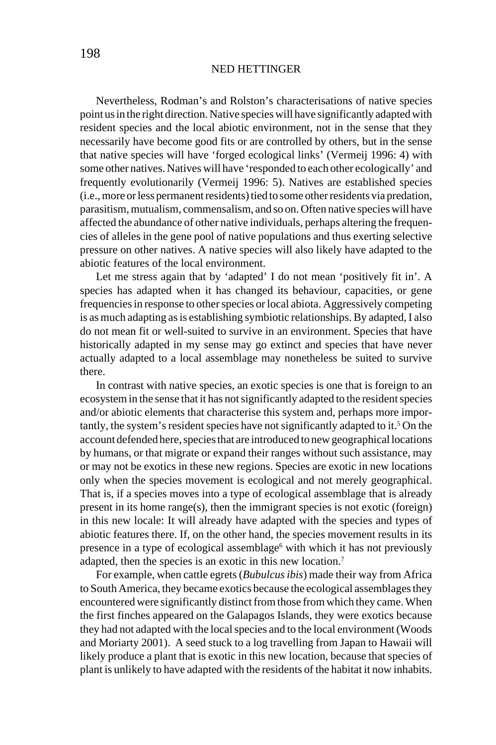Nevertheless, Rodman's and Rolston's characterisations of native species point us in the right direction. Native species will have significantly adapted with resident species and the local abiotic environment, not in the sense that they necessarily have become good fits or are controlled by others, but in the sense that native species will have 'forged ecological links' (Vermeij 1996: 4) with some other natives. Natives will have 'responded to each other ecologically' and frequently evolutionarily (Vermeij 1996: 5). Natives are established species (i.e., more or less permanent residents) tied to some other residents via predation, parasitism, mutualism, commensalism, and so on. Often native species will have affected the abundance of other native individuals, perhaps altering the frequencies of alleles in the gene pool of native populations and thus exerting selective pressure on other natives. A native species will also likely have adapted to the abiotic features of the local environment.

Let me stress again that by 'adapted' I do not mean 'positively fit in'. A species has adapted when it has changed its behaviour, capacities, or gene frequencies in response to other species or local abiota. Aggressively competing is as much adapting as is establishing symbiotic relationships. By adapted, I also do not mean fit or well-suited to survive in an environment. Species that have historically adapted in my sense may go extinct and species that have never actually adapted to a local assemblage may nonetheless be suited to survive there.

In contrast with native species, an exotic species is one that is foreign to an ecosystem in the sense that it has not significantly adapted to the resident species and/or abiotic elements that characterise this system and, perhaps more importantly, the system's resident species have not significantly adapted to it.<sup>5</sup> On the account defended here, species that are introduced to new geographical locations by humans, or that migrate or expand their ranges without such assistance, may or may not be exotics in these new regions. Species are exotic in new locations only when the species movement is ecological and not merely geographical. That is, if a species moves into a type of ecological assemblage that is already present in its home range(s), then the immigrant species is not exotic (foreign) in this new locale: It will already have adapted with the species and types of abiotic features there. If, on the other hand, the species movement results in its presence in a type of ecological assemblage<sup>6</sup> with which it has not previously adapted, then the species is an exotic in this new location.7

For example, when cattle egrets (*Bubulcus ibis*) made their way from Africa to South America, they became exotics because the ecological assemblages they encountered were significantly distinct from those from which they came. When the first finches appeared on the Galapagos Islands, they were exotics because they had not adapted with the local species and to the local environment (Woods and Moriarty 2001). A seed stuck to a log travelling from Japan to Hawaii will likely produce a plant that is exotic in this new location, because that species of plant is unlikely to have adapted with the residents of the habitat it now inhabits.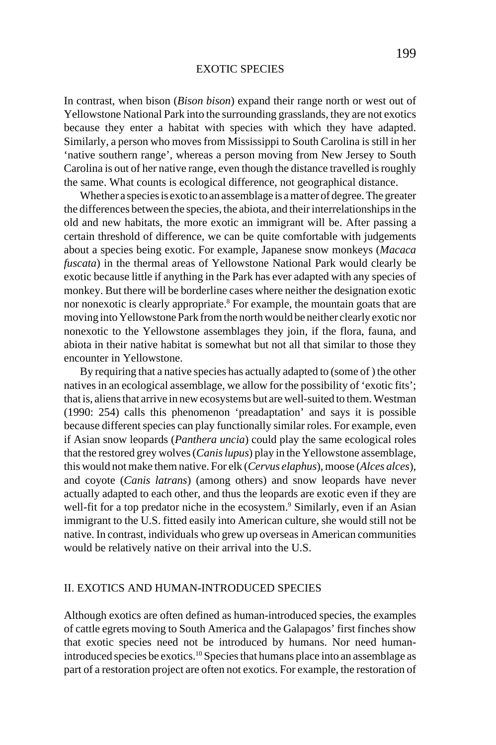In contrast, when bison (*Bison bison*) expand their range north or west out of Yellowstone National Park into the surrounding grasslands, they are not exotics because they enter a habitat with species with which they have adapted. Similarly, a person who moves from Mississippi to South Carolina is still in her 'native southern range', whereas a person moving from New Jersey to South Carolina is out of her native range, even though the distance travelled is roughly the same. What counts is ecological difference, not geographical distance.

Whether a species is exotic to an assemblage is a matter of degree. The greater the differences between the species, the abiota, and their interrelationships in the old and new habitats, the more exotic an immigrant will be. After passing a certain threshold of difference, we can be quite comfortable with judgements about a species being exotic. For example, Japanese snow monkeys (*Macaca fuscata*) in the thermal areas of Yellowstone National Park would clearly be exotic because little if anything in the Park has ever adapted with any species of monkey. But there will be borderline cases where neither the designation exotic nor nonexotic is clearly appropriate.<sup>8</sup> For example, the mountain goats that are moving into Yellowstone Park from the north would be neither clearly exotic nor nonexotic to the Yellowstone assemblages they join, if the flora, fauna, and abiota in their native habitat is somewhat but not all that similar to those they encounter in Yellowstone.

By requiring that a native species has actually adapted to (some of ) the other natives in an ecological assemblage, we allow for the possibility of 'exotic fits'; that is, aliens that arrive in new ecosystems but are well-suited to them. Westman (1990: 254) calls this phenomenon 'preadaptation' and says it is possible because different species can play functionally similar roles. For example, even if Asian snow leopards (*Panthera uncia*) could play the same ecological roles that the restored grey wolves (*Canis lupus*) play in the Yellowstone assemblage, this would not make them native. For elk (*Cervus elaphus*), moose (*Alces alces*), and coyote (*Canis latrans*) (among others) and snow leopards have never actually adapted to each other, and thus the leopards are exotic even if they are well-fit for a top predator niche in the ecosystem.<sup>9</sup> Similarly, even if an Asian immigrant to the U.S. fitted easily into American culture, she would still not be native. In contrast, individuals who grew up overseas in American communities would be relatively native on their arrival into the U.S.

# II. EXOTICS AND HUMAN-INTRODUCED SPECIES

Although exotics are often defined as human-introduced species, the examples of cattle egrets moving to South America and the Galapagos' first finches show that exotic species need not be introduced by humans. Nor need humanintroduced species be exotics.10 Species that humans place into an assemblage as part of a restoration project are often not exotics. For example, the restoration of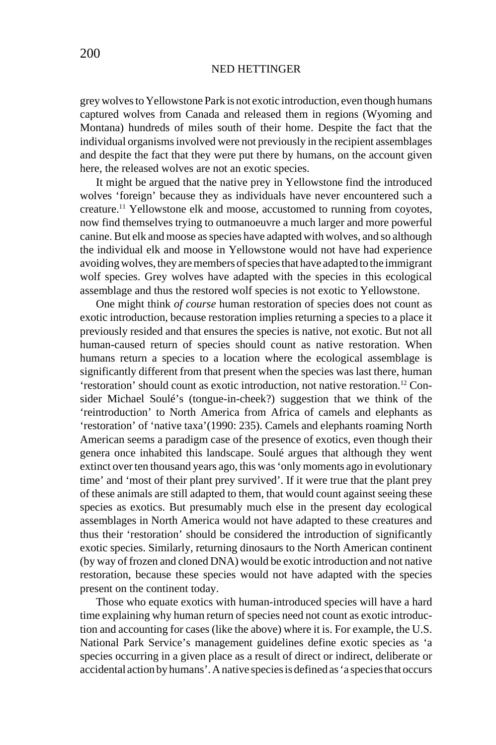grey wolves to Yellowstone Park is not exotic introduction, even though humans captured wolves from Canada and released them in regions (Wyoming and Montana) hundreds of miles south of their home. Despite the fact that the individual organisms involved were not previously in the recipient assemblages and despite the fact that they were put there by humans, on the account given here, the released wolves are not an exotic species.

It might be argued that the native prey in Yellowstone find the introduced wolves 'foreign' because they as individuals have never encountered such a creature.11 Yellowstone elk and moose, accustomed to running from coyotes, now find themselves trying to outmanoeuvre a much larger and more powerful canine. But elk and moose as species have adapted with wolves, and so although the individual elk and moose in Yellowstone would not have had experience avoiding wolves, they are members of species that have adapted to the immigrant wolf species. Grey wolves have adapted with the species in this ecological assemblage and thus the restored wolf species is not exotic to Yellowstone.

One might think *of course* human restoration of species does not count as exotic introduction, because restoration implies returning a species to a place it previously resided and that ensures the species is native, not exotic. But not all human-caused return of species should count as native restoration. When humans return a species to a location where the ecological assemblage is significantly different from that present when the species was last there, human 'restoration' should count as exotic introduction, not native restoration.12 Consider Michael Soulé's (tongue-in-cheek?) suggestion that we think of the 'reintroduction' to North America from Africa of camels and elephants as 'restoration' of 'native taxa'(1990: 235). Camels and elephants roaming North American seems a paradigm case of the presence of exotics, even though their genera once inhabited this landscape. Soulé argues that although they went extinct over ten thousand years ago, this was 'only moments ago in evolutionary time' and 'most of their plant prey survived'. If it were true that the plant prey of these animals are still adapted to them, that would count against seeing these species as exotics. But presumably much else in the present day ecological assemblages in North America would not have adapted to these creatures and thus their 'restoration' should be considered the introduction of significantly exotic species. Similarly, returning dinosaurs to the North American continent (by way of frozen and cloned DNA) would be exotic introduction and not native restoration, because these species would not have adapted with the species present on the continent today.

Those who equate exotics with human-introduced species will have a hard time explaining why human return of species need not count as exotic introduction and accounting for cases (like the above) where it is. For example, the U.S. National Park Service's management guidelines define exotic species as 'a species occurring in a given place as a result of direct or indirect, deliberate or accidental action by humans'. A native species is defined as 'a species that occurs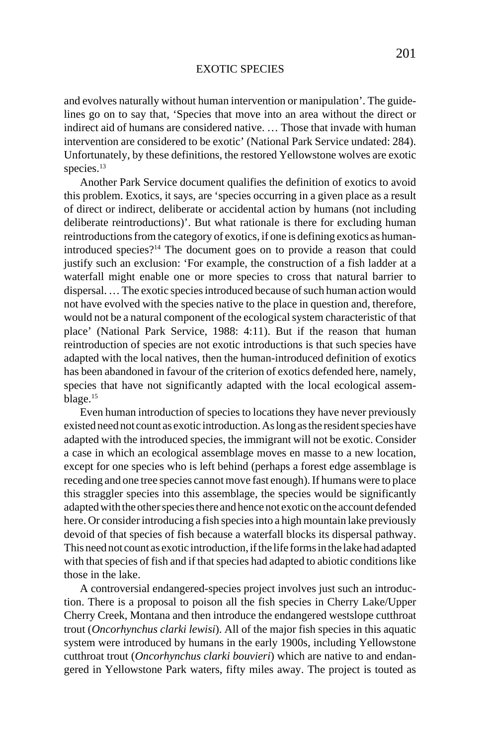and evolves naturally without human intervention or manipulation'. The guidelines go on to say that, 'Species that move into an area without the direct or indirect aid of humans are considered native. … Those that invade with human intervention are considered to be exotic' (National Park Service undated: 284). Unfortunately, by these definitions, the restored Yellowstone wolves are exotic species.<sup>13</sup>

Another Park Service document qualifies the definition of exotics to avoid this problem. Exotics, it says, are 'species occurring in a given place as a result of direct or indirect, deliberate or accidental action by humans (not including deliberate reintroductions)'. But what rationale is there for excluding human reintroductions from the category of exotics, if one is defining exotics as humanintroduced species?14 The document goes on to provide a reason that could justify such an exclusion: 'For example, the construction of a fish ladder at a waterfall might enable one or more species to cross that natural barrier to dispersal. … The exotic species introduced because of such human action would not have evolved with the species native to the place in question and, therefore, would not be a natural component of the ecological system characteristic of that place' (National Park Service, 1988: 4:11). But if the reason that human reintroduction of species are not exotic introductions is that such species have adapted with the local natives, then the human-introduced definition of exotics has been abandoned in favour of the criterion of exotics defended here, namely, species that have not significantly adapted with the local ecological assemblage.15

Even human introduction of species to locations they have never previously existed need not count as exotic introduction. As long as the resident species have adapted with the introduced species, the immigrant will not be exotic. Consider a case in which an ecological assemblage moves en masse to a new location, except for one species who is left behind (perhaps a forest edge assemblage is receding and one tree species cannot move fast enough). If humans were to place this straggler species into this assemblage, the species would be significantly adapted with the other species there and hence not exotic on the account defended here. Or consider introducing a fish species into a high mountain lake previously devoid of that species of fish because a waterfall blocks its dispersal pathway. This need not count as exotic introduction, if the life forms in the lake had adapted with that species of fish and if that species had adapted to abiotic conditions like those in the lake.

A controversial endangered-species project involves just such an introduction. There is a proposal to poison all the fish species in Cherry Lake/Upper Cherry Creek, Montana and then introduce the endangered westslope cutthroat trout (*Oncorhynchus clarki lewisi*). All of the major fish species in this aquatic system were introduced by humans in the early 1900s, including Yellowstone cutthroat trout (*Oncorhynchus clarki bouvieri*) which are native to and endangered in Yellowstone Park waters, fifty miles away. The project is touted as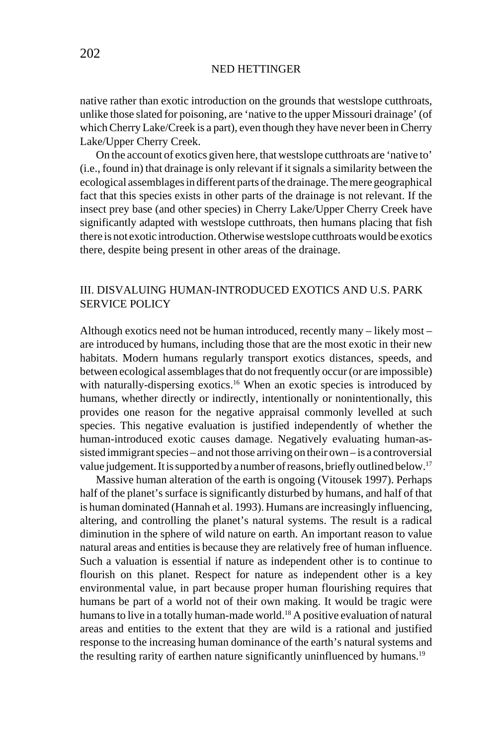native rather than exotic introduction on the grounds that westslope cutthroats, unlike those slated for poisoning, are 'native to the upper Missouri drainage' (of which Cherry Lake/Creek is a part), even though they have never been in Cherry Lake/Upper Cherry Creek.

On the account of exotics given here, that westslope cutthroats are 'native to' (i.e., found in) that drainage is only relevant if it signals a similarity between the ecological assemblages in different parts of the drainage. The mere geographical fact that this species exists in other parts of the drainage is not relevant. If the insect prey base (and other species) in Cherry Lake/Upper Cherry Creek have significantly adapted with westslope cutthroats, then humans placing that fish there is not exotic introduction. Otherwise westslope cutthroats would be exotics there, despite being present in other areas of the drainage.

# III. DISVALUING HUMAN-INTRODUCED EXOTICS AND U.S. PARK SERVICE POLICY

Although exotics need not be human introduced, recently many – likely most – are introduced by humans, including those that are the most exotic in their new habitats. Modern humans regularly transport exotics distances, speeds, and between ecological assemblages that do not frequently occur (or are impossible) with naturally-dispersing exotics.<sup>16</sup> When an exotic species is introduced by humans, whether directly or indirectly, intentionally or nonintentionally, this provides one reason for the negative appraisal commonly levelled at such species. This negative evaluation is justified independently of whether the human-introduced exotic causes damage. Negatively evaluating human-assisted immigrant species – and not those arriving on their own – is a controversial value judgement. It is supported by a number of reasons, briefly outlined below.17

Massive human alteration of the earth is ongoing (Vitousek 1997). Perhaps half of the planet's surface is significantly disturbed by humans, and half of that is human dominated (Hannah et al. 1993). Humans are increasingly influencing, altering, and controlling the planet's natural systems. The result is a radical diminution in the sphere of wild nature on earth. An important reason to value natural areas and entities is because they are relatively free of human influence. Such a valuation is essential if nature as independent other is to continue to flourish on this planet. Respect for nature as independent other is a key environmental value, in part because proper human flourishing requires that humans be part of a world not of their own making. It would be tragic were humans to live in a totally human-made world.<sup>18</sup> A positive evaluation of natural areas and entities to the extent that they are wild is a rational and justified response to the increasing human dominance of the earth's natural systems and the resulting rarity of earthen nature significantly uninfluenced by humans.<sup>19</sup>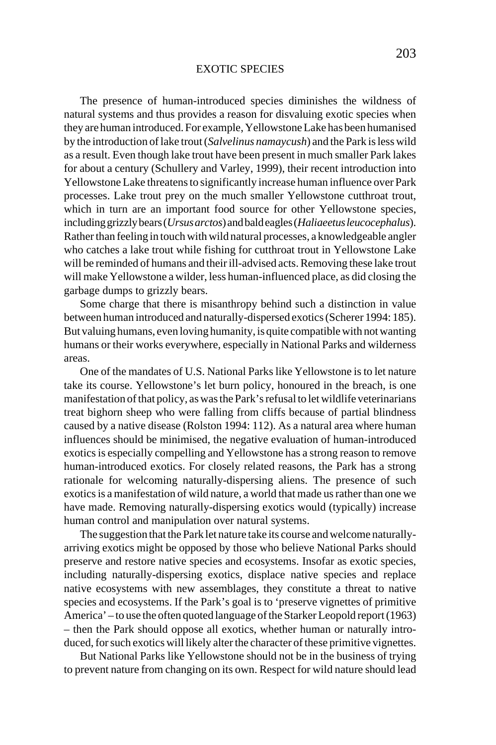The presence of human-introduced species diminishes the wildness of natural systems and thus provides a reason for disvaluing exotic species when they are human introduced. For example, Yellowstone Lake has been humanised by the introduction of lake trout (*Salvelinus namaycush*) and the Park is less wild as a result. Even though lake trout have been present in much smaller Park lakes for about a century (Schullery and Varley, 1999), their recent introduction into Yellowstone Lake threatens to significantly increase human influence over Park processes. Lake trout prey on the much smaller Yellowstone cutthroat trout, which in turn are an important food source for other Yellowstone species, including grizzly bears (*Ursus arctos*) and bald eagles (*Haliaeetus leucocephalus*). Rather than feeling in touch with wild natural processes, a knowledgeable angler who catches a lake trout while fishing for cutthroat trout in Yellowstone Lake will be reminded of humans and their ill-advised acts. Removing these lake trout will make Yellowstone a wilder, less human-influenced place, as did closing the garbage dumps to grizzly bears.

Some charge that there is misanthropy behind such a distinction in value between human introduced and naturally-dispersed exotics (Scherer 1994: 185). But valuing humans, even loving humanity, is quite compatible with not wanting humans or their works everywhere, especially in National Parks and wilderness areas.

One of the mandates of U.S. National Parks like Yellowstone is to let nature take its course. Yellowstone's let burn policy, honoured in the breach, is one manifestation of that policy, as was the Park's refusal to let wildlife veterinarians treat bighorn sheep who were falling from cliffs because of partial blindness caused by a native disease (Rolston 1994: 112). As a natural area where human influences should be minimised, the negative evaluation of human-introduced exotics is especially compelling and Yellowstone has a strong reason to remove human-introduced exotics. For closely related reasons, the Park has a strong rationale for welcoming naturally-dispersing aliens. The presence of such exotics is a manifestation of wild nature, a world that made us rather than one we have made. Removing naturally-dispersing exotics would (typically) increase human control and manipulation over natural systems.

The suggestion that the Park let nature take its course and welcome naturallyarriving exotics might be opposed by those who believe National Parks should preserve and restore native species and ecosystems. Insofar as exotic species, including naturally-dispersing exotics, displace native species and replace native ecosystems with new assemblages, they constitute a threat to native species and ecosystems. If the Park's goal is to 'preserve vignettes of primitive America' – to use the often quoted language of the Starker Leopold report (1963) – then the Park should oppose all exotics, whether human or naturally introduced, for such exotics will likely alter the character of these primitive vignettes.

But National Parks like Yellowstone should not be in the business of trying to prevent nature from changing on its own. Respect for wild nature should lead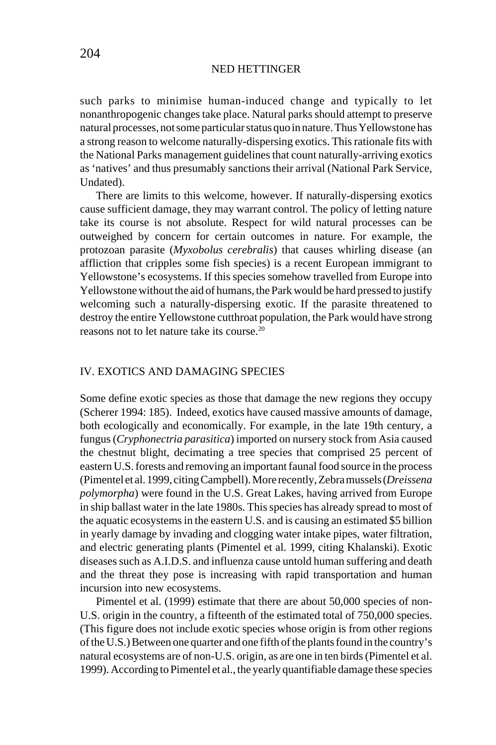such parks to minimise human-induced change and typically to let nonanthropogenic changes take place. Natural parks should attempt to preserve natural processes, not some particular status quo in nature. Thus Yellowstone has a strong reason to welcome naturally-dispersing exotics. This rationale fits with the National Parks management guidelines that count naturally-arriving exotics as 'natives' and thus presumably sanctions their arrival (National Park Service, Undated).

There are limits to this welcome, however. If naturally-dispersing exotics cause sufficient damage, they may warrant control. The policy of letting nature take its course is not absolute. Respect for wild natural processes can be outweighed by concern for certain outcomes in nature. For example, the protozoan parasite (*Myxobolus cerebralis*) that causes whirling disease (an affliction that cripples some fish species) is a recent European immigrant to Yellowstone's ecosystems. If this species somehow travelled from Europe into Yellowstone without the aid of humans, the Park would be hard pressed to justify welcoming such a naturally-dispersing exotic. If the parasite threatened to destroy the entire Yellowstone cutthroat population, the Park would have strong reasons not to let nature take its course.20

# IV. EXOTICS AND DAMAGING SPECIES

Some define exotic species as those that damage the new regions they occupy (Scherer 1994: 185). Indeed, exotics have caused massive amounts of damage, both ecologically and economically. For example, in the late 19th century, a fungus (*Cryphonectria parasitica*) imported on nursery stock from Asia caused the chestnut blight, decimating a tree species that comprised 25 percent of eastern U.S. forests and removing an important faunal food source in the process (Pimentel et al. 1999, citing Campbell). More recently, Zebra mussels (*Dreissena polymorpha*) were found in the U.S. Great Lakes, having arrived from Europe in ship ballast water in the late 1980s. This species has already spread to most of the aquatic ecosystems in the eastern U.S. and is causing an estimated \$5 billion in yearly damage by invading and clogging water intake pipes, water filtration, and electric generating plants (Pimentel et al. 1999, citing Khalanski). Exotic diseases such as A.I.D.S. and influenza cause untold human suffering and death and the threat they pose is increasing with rapid transportation and human incursion into new ecosystems.

Pimentel et al. (1999) estimate that there are about 50,000 species of non-U.S. origin in the country, a fifteenth of the estimated total of 750,000 species. (This figure does not include exotic species whose origin is from other regions of the U.S.) Between one quarter and one fifth of the plants found in the country's natural ecosystems are of non-U.S. origin, as are one in ten birds (Pimentel et al. 1999). According to Pimentel et al., the yearly quantifiable damage these species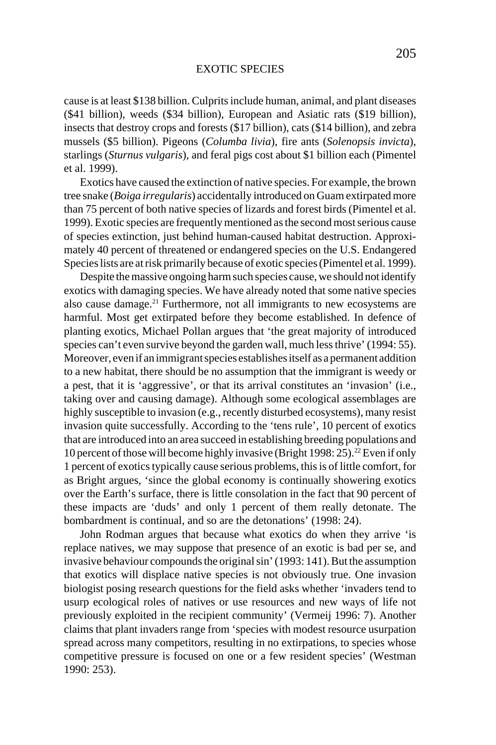cause is at least \$138 billion. Culprits include human, animal, and plant diseases (\$41 billion), weeds (\$34 billion), European and Asiatic rats (\$19 billion), insects that destroy crops and forests (\$17 billion), cats (\$14 billion), and zebra mussels (\$5 billion). Pigeons (*Columba livia*), fire ants (*Solenopsis invicta*), starlings (*Sturnus vulgaris*), and feral pigs cost about \$1 billion each (Pimentel et al. 1999).

Exotics have caused the extinction of native species. For example, the brown tree snake (*Boiga irregularis*) accidentally introduced on Guam extirpated more than 75 percent of both native species of lizards and forest birds (Pimentel et al. 1999). Exotic species are frequently mentioned as the second most serious cause of species extinction, just behind human-caused habitat destruction. Approximately 40 percent of threatened or endangered species on the U.S. Endangered Species lists are at risk primarily because of exotic species (Pimentel et al. 1999).

Despite the massive ongoing harm such species cause, we should not identify exotics with damaging species. We have already noted that some native species also cause damage.<sup>21</sup> Furthermore, not all immigrants to new ecosystems are harmful. Most get extirpated before they become established. In defence of planting exotics, Michael Pollan argues that 'the great majority of introduced species can't even survive beyond the garden wall, much less thrive' (1994: 55). Moreover, even if an immigrant species establishes itself as a permanent addition to a new habitat, there should be no assumption that the immigrant is weedy or a pest, that it is 'aggressive', or that its arrival constitutes an 'invasion' (i.e., taking over and causing damage). Although some ecological assemblages are highly susceptible to invasion (e.g., recently disturbed ecosystems), many resist invasion quite successfully. According to the 'tens rule', 10 percent of exotics that are introduced into an area succeed in establishing breeding populations and 10 percent of those will become highly invasive (Bright 1998: 25).<sup>22</sup> Even if only 1 percent of exotics typically cause serious problems, this is of little comfort, for as Bright argues, 'since the global economy is continually showering exotics over the Earth's surface, there is little consolation in the fact that 90 percent of these impacts are 'duds' and only 1 percent of them really detonate. The bombardment is continual, and so are the detonations' (1998: 24).

John Rodman argues that because what exotics do when they arrive 'is replace natives, we may suppose that presence of an exotic is bad per se, and invasive behaviour compounds the original sin' (1993: 141). But the assumption that exotics will displace native species is not obviously true. One invasion biologist posing research questions for the field asks whether 'invaders tend to usurp ecological roles of natives or use resources and new ways of life not previously exploited in the recipient community' (Vermeij 1996: 7). Another claims that plant invaders range from 'species with modest resource usurpation spread across many competitors, resulting in no extirpations, to species whose competitive pressure is focused on one or a few resident species' (Westman 1990: 253).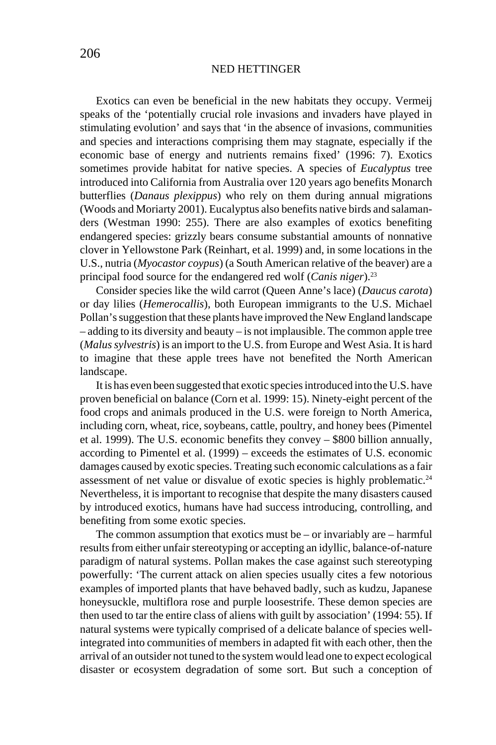Exotics can even be beneficial in the new habitats they occupy. Vermeij speaks of the 'potentially crucial role invasions and invaders have played in stimulating evolution' and says that 'in the absence of invasions, communities and species and interactions comprising them may stagnate, especially if the economic base of energy and nutrients remains fixed' (1996: 7). Exotics sometimes provide habitat for native species. A species of *Eucalyptus* tree introduced into California from Australia over 120 years ago benefits Monarch butterflies (*Danaus plexippus*) who rely on them during annual migrations (Woods and Moriarty 2001). Eucalyptus also benefits native birds and salamanders (Westman 1990: 255). There are also examples of exotics benefiting endangered species: grizzly bears consume substantial amounts of nonnative clover in Yellowstone Park (Reinhart, et al. 1999) and, in some locations in the U.S., nutria (*Myocastor coypus*) (a South American relative of the beaver) are a principal food source for the endangered red wolf (*Canis niger*).23

Consider species like the wild carrot (Queen Anne's lace) (*Daucus carota*) or day lilies (*Hemerocallis*), both European immigrants to the U.S. Michael Pollan's suggestion that these plants have improved the New England landscape – adding to its diversity and beauty – is not implausible. The common apple tree (*Malus sylvestris*) is an import to the U.S. from Europe and West Asia. It is hard to imagine that these apple trees have not benefited the North American landscape.

It is has even been suggested that exotic species introduced into the U.S. have proven beneficial on balance (Corn et al. 1999: 15). Ninety-eight percent of the food crops and animals produced in the U.S. were foreign to North America, including corn, wheat, rice, soybeans, cattle, poultry, and honey bees (Pimentel et al. 1999). The U.S. economic benefits they convey – \$800 billion annually, according to Pimentel et al. (1999) – exceeds the estimates of U.S. economic damages caused by exotic species. Treating such economic calculations as a fair assessment of net value or disvalue of exotic species is highly problematic.<sup>24</sup> Nevertheless, it is important to recognise that despite the many disasters caused by introduced exotics, humans have had success introducing, controlling, and benefiting from some exotic species.

The common assumption that exotics must be  $-$  or invariably are  $-$  harmful results from either unfair stereotyping or accepting an idyllic, balance-of-nature paradigm of natural systems. Pollan makes the case against such stereotyping powerfully: 'The current attack on alien species usually cites a few notorious examples of imported plants that have behaved badly, such as kudzu, Japanese honeysuckle, multiflora rose and purple loosestrife. These demon species are then used to tar the entire class of aliens with guilt by association' (1994: 55). If natural systems were typically comprised of a delicate balance of species wellintegrated into communities of members in adapted fit with each other, then the arrival of an outsider not tuned to the system would lead one to expect ecological disaster or ecosystem degradation of some sort. But such a conception of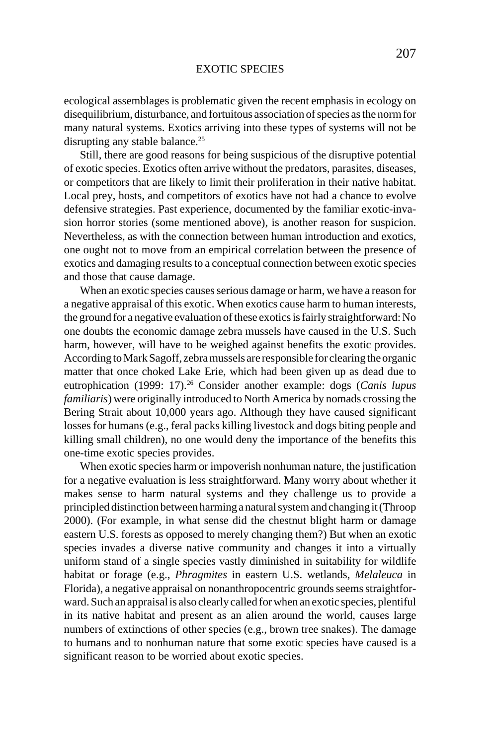ecological assemblages is problematic given the recent emphasis in ecology on disequilibrium, disturbance, and fortuitous association of species as the norm for many natural systems. Exotics arriving into these types of systems will not be disrupting any stable balance.<sup>25</sup>

Still, there are good reasons for being suspicious of the disruptive potential of exotic species. Exotics often arrive without the predators, parasites, diseases, or competitors that are likely to limit their proliferation in their native habitat. Local prey, hosts, and competitors of exotics have not had a chance to evolve defensive strategies. Past experience, documented by the familiar exotic-invasion horror stories (some mentioned above), is another reason for suspicion. Nevertheless, as with the connection between human introduction and exotics, one ought not to move from an empirical correlation between the presence of exotics and damaging results to a conceptual connection between exotic species and those that cause damage.

When an exotic species causes serious damage or harm, we have a reason for a negative appraisal of this exotic. When exotics cause harm to human interests, the ground for a negative evaluation of these exotics is fairly straightforward: No one doubts the economic damage zebra mussels have caused in the U.S. Such harm, however, will have to be weighed against benefits the exotic provides. According to Mark Sagoff, zebra mussels are responsible for clearing the organic matter that once choked Lake Erie, which had been given up as dead due to eutrophication (1999: 17).26 Consider another example: dogs (*Canis lupus familiaris*) were originally introduced to North America by nomads crossing the Bering Strait about 10,000 years ago. Although they have caused significant losses for humans (e.g., feral packs killing livestock and dogs biting people and killing small children), no one would deny the importance of the benefits this one-time exotic species provides.

When exotic species harm or impoverish nonhuman nature, the justification for a negative evaluation is less straightforward. Many worry about whether it makes sense to harm natural systems and they challenge us to provide a principled distinction between harming a natural system and changing it (Throop 2000). (For example, in what sense did the chestnut blight harm or damage eastern U.S. forests as opposed to merely changing them?) But when an exotic species invades a diverse native community and changes it into a virtually uniform stand of a single species vastly diminished in suitability for wildlife habitat or forage (e.g., *Phragmites* in eastern U.S. wetlands, *Melaleuca* in Florida), a negative appraisal on nonanthropocentric grounds seems straightforward. Such an appraisal is also clearly called for when an exotic species, plentiful in its native habitat and present as an alien around the world, causes large numbers of extinctions of other species (e.g., brown tree snakes). The damage to humans and to nonhuman nature that some exotic species have caused is a significant reason to be worried about exotic species.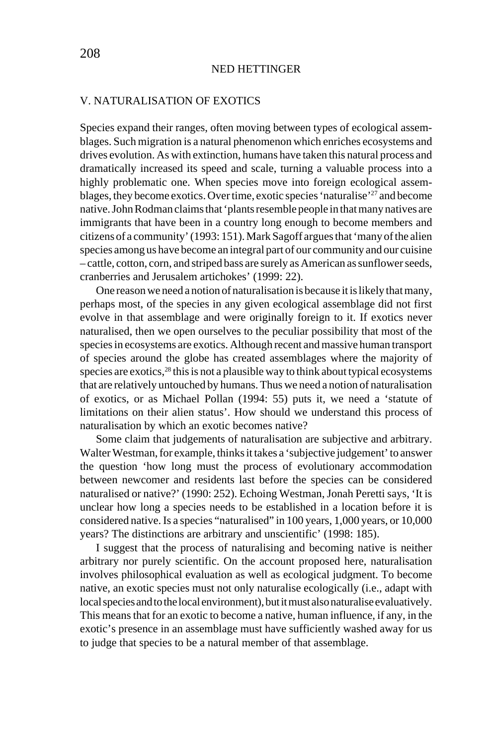# V. NATURALISATION OF EXOTICS

Species expand their ranges, often moving between types of ecological assemblages. Such migration is a natural phenomenon which enriches ecosystems and drives evolution. As with extinction, humans have taken this natural process and dramatically increased its speed and scale, turning a valuable process into a highly problematic one. When species move into foreign ecological assemblages, they become exotics. Over time, exotic species 'naturalise'27 and become native. John Rodman claims that 'plants resemble people in that many natives are immigrants that have been in a country long enough to become members and citizens of a community' (1993: 151). Mark Sagoff argues that 'many of the alien species among us have become an integral part of our community and our cuisine – cattle, cotton, corn, and striped bass are surely as American as sunflower seeds, cranberries and Jerusalem artichokes' (1999: 22).

One reason we need a notion of naturalisation is because it is likely that many, perhaps most, of the species in any given ecological assemblage did not first evolve in that assemblage and were originally foreign to it. If exotics never naturalised, then we open ourselves to the peculiar possibility that most of the species in ecosystems are exotics. Although recent and massive human transport of species around the globe has created assemblages where the majority of species are exotics, $2^8$  this is not a plausible way to think about typical ecosystems that are relatively untouched by humans. Thus we need a notion of naturalisation of exotics, or as Michael Pollan (1994: 55) puts it, we need a 'statute of limitations on their alien status'. How should we understand this process of naturalisation by which an exotic becomes native?

Some claim that judgements of naturalisation are subjective and arbitrary. Walter Westman, for example, thinks it takes a 'subjective judgement' to answer the question 'how long must the process of evolutionary accommodation between newcomer and residents last before the species can be considered naturalised or native?' (1990: 252). Echoing Westman, Jonah Peretti says, 'It is unclear how long a species needs to be established in a location before it is considered native. Is a species "naturalised" in 100 years, 1,000 years, or 10,000 years? The distinctions are arbitrary and unscientific' (1998: 185).

I suggest that the process of naturalising and becoming native is neither arbitrary nor purely scientific. On the account proposed here, naturalisation involves philosophical evaluation as well as ecological judgment. To become native, an exotic species must not only naturalise ecologically (i.e., adapt with local species and to the local environment), but it must also naturalise evaluatively. This means that for an exotic to become a native, human influence, if any, in the exotic's presence in an assemblage must have sufficiently washed away for us to judge that species to be a natural member of that assemblage.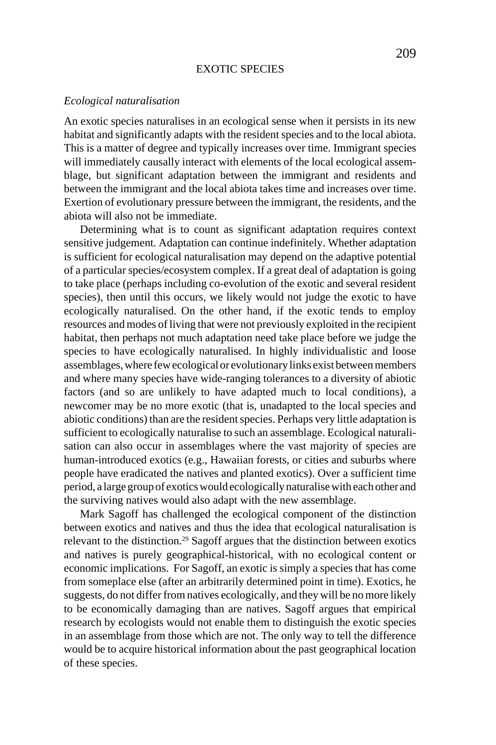#### *Ecological naturalisation*

An exotic species naturalises in an ecological sense when it persists in its new habitat and significantly adapts with the resident species and to the local abiota. This is a matter of degree and typically increases over time. Immigrant species will immediately causally interact with elements of the local ecological assemblage, but significant adaptation between the immigrant and residents and between the immigrant and the local abiota takes time and increases over time. Exertion of evolutionary pressure between the immigrant, the residents, and the abiota will also not be immediate.

Determining what is to count as significant adaptation requires context sensitive judgement. Adaptation can continue indefinitely. Whether adaptation is sufficient for ecological naturalisation may depend on the adaptive potential of a particular species/ecosystem complex. If a great deal of adaptation is going to take place (perhaps including co-evolution of the exotic and several resident species), then until this occurs, we likely would not judge the exotic to have ecologically naturalised. On the other hand, if the exotic tends to employ resources and modes of living that were not previously exploited in the recipient habitat, then perhaps not much adaptation need take place before we judge the species to have ecologically naturalised. In highly individualistic and loose assemblages, where few ecological or evolutionary links exist between members and where many species have wide-ranging tolerances to a diversity of abiotic factors (and so are unlikely to have adapted much to local conditions), a newcomer may be no more exotic (that is, unadapted to the local species and abiotic conditions) than are the resident species. Perhaps very little adaptation is sufficient to ecologically naturalise to such an assemblage. Ecological naturalisation can also occur in assemblages where the vast majority of species are human-introduced exotics (e.g., Hawaiian forests, or cities and suburbs where people have eradicated the natives and planted exotics). Over a sufficient time period, a large group of exotics would ecologically naturalise with each other and the surviving natives would also adapt with the new assemblage.

Mark Sagoff has challenged the ecological component of the distinction between exotics and natives and thus the idea that ecological naturalisation is relevant to the distinction.29 Sagoff argues that the distinction between exotics and natives is purely geographical-historical, with no ecological content or economic implications. For Sagoff, an exotic is simply a species that has come from someplace else (after an arbitrarily determined point in time). Exotics, he suggests, do not differ from natives ecologically, and they will be no more likely to be economically damaging than are natives. Sagoff argues that empirical research by ecologists would not enable them to distinguish the exotic species in an assemblage from those which are not. The only way to tell the difference would be to acquire historical information about the past geographical location of these species.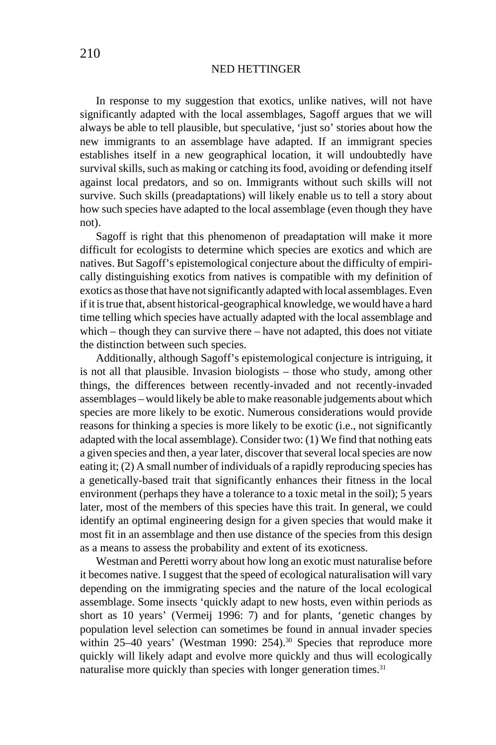In response to my suggestion that exotics, unlike natives, will not have significantly adapted with the local assemblages, Sagoff argues that we will always be able to tell plausible, but speculative, 'just so' stories about how the new immigrants to an assemblage have adapted. If an immigrant species establishes itself in a new geographical location, it will undoubtedly have survival skills, such as making or catching its food, avoiding or defending itself against local predators, and so on. Immigrants without such skills will not survive. Such skills (preadaptations) will likely enable us to tell a story about how such species have adapted to the local assemblage (even though they have not).

Sagoff is right that this phenomenon of preadaptation will make it more difficult for ecologists to determine which species are exotics and which are natives. But Sagoff's epistemological conjecture about the difficulty of empirically distinguishing exotics from natives is compatible with my definition of exotics as those that have not significantly adapted with local assemblages. Even if it is true that, absent historical-geographical knowledge, we would have a hard time telling which species have actually adapted with the local assemblage and which – though they can survive there – have not adapted, this does not vitiate the distinction between such species.

Additionally, although Sagoff's epistemological conjecture is intriguing, it is not all that plausible. Invasion biologists – those who study, among other things, the differences between recently-invaded and not recently-invaded assemblages – would likely be able to make reasonable judgements about which species are more likely to be exotic. Numerous considerations would provide reasons for thinking a species is more likely to be exotic (i.e., not significantly adapted with the local assemblage). Consider two: (1) We find that nothing eats a given species and then, a year later, discover that several local species are now eating it; (2) A small number of individuals of a rapidly reproducing species has a genetically-based trait that significantly enhances their fitness in the local environment (perhaps they have a tolerance to a toxic metal in the soil); 5 years later, most of the members of this species have this trait. In general, we could identify an optimal engineering design for a given species that would make it most fit in an assemblage and then use distance of the species from this design as a means to assess the probability and extent of its exoticness.

Westman and Peretti worry about how long an exotic must naturalise before it becomes native. I suggest that the speed of ecological naturalisation will vary depending on the immigrating species and the nature of the local ecological assemblage. Some insects 'quickly adapt to new hosts, even within periods as short as 10 years' (Vermeij 1996: 7) and for plants, 'genetic changes by population level selection can sometimes be found in annual invader species within 25–40 years' (Westman 1990:  $254$ ).<sup>30</sup> Species that reproduce more quickly will likely adapt and evolve more quickly and thus will ecologically naturalise more quickly than species with longer generation times.<sup>31</sup>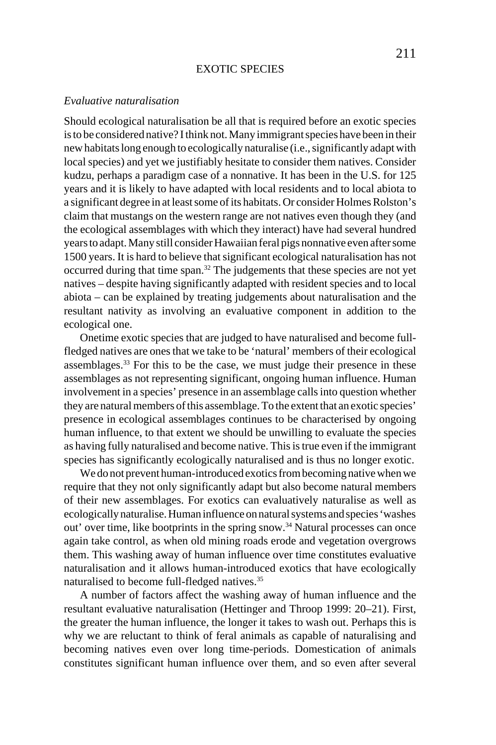#### *Evaluative naturalisation*

Should ecological naturalisation be all that is required before an exotic species is to be considered native? I think not. Many immigrant species have been in their new habitats long enough to ecologically naturalise (i.e., significantly adapt with local species) and yet we justifiably hesitate to consider them natives. Consider kudzu, perhaps a paradigm case of a nonnative. It has been in the U.S. for 125 years and it is likely to have adapted with local residents and to local abiota to a significant degree in at least some of its habitats. Or consider Holmes Rolston's claim that mustangs on the western range are not natives even though they (and the ecological assemblages with which they interact) have had several hundred years to adapt. Many still consider Hawaiian feral pigs nonnative even after some 1500 years. It is hard to believe that significant ecological naturalisation has not occurred during that time span.32 The judgements that these species are not yet natives – despite having significantly adapted with resident species and to local abiota – can be explained by treating judgements about naturalisation and the resultant nativity as involving an evaluative component in addition to the ecological one.

Onetime exotic species that are judged to have naturalised and become fullfledged natives are ones that we take to be 'natural' members of their ecological assemblages.33 For this to be the case, we must judge their presence in these assemblages as not representing significant, ongoing human influence. Human involvement in a species' presence in an assemblage calls into question whether they are natural members of this assemblage. To the extent that an exotic species' presence in ecological assemblages continues to be characterised by ongoing human influence, to that extent we should be unwilling to evaluate the species as having fully naturalised and become native. This is true even if the immigrant species has significantly ecologically naturalised and is thus no longer exotic.

We do not prevent human-introduced exotics from becoming native when we require that they not only significantly adapt but also become natural members of their new assemblages. For exotics can evaluatively naturalise as well as ecologically naturalise. Human influence on natural systems and species 'washes out' over time, like bootprints in the spring snow.<sup>34</sup> Natural processes can once again take control, as when old mining roads erode and vegetation overgrows them. This washing away of human influence over time constitutes evaluative naturalisation and it allows human-introduced exotics that have ecologically naturalised to become full-fledged natives.35

A number of factors affect the washing away of human influence and the resultant evaluative naturalisation (Hettinger and Throop 1999: 20–21). First, the greater the human influence, the longer it takes to wash out. Perhaps this is why we are reluctant to think of feral animals as capable of naturalising and becoming natives even over long time-periods. Domestication of animals constitutes significant human influence over them, and so even after several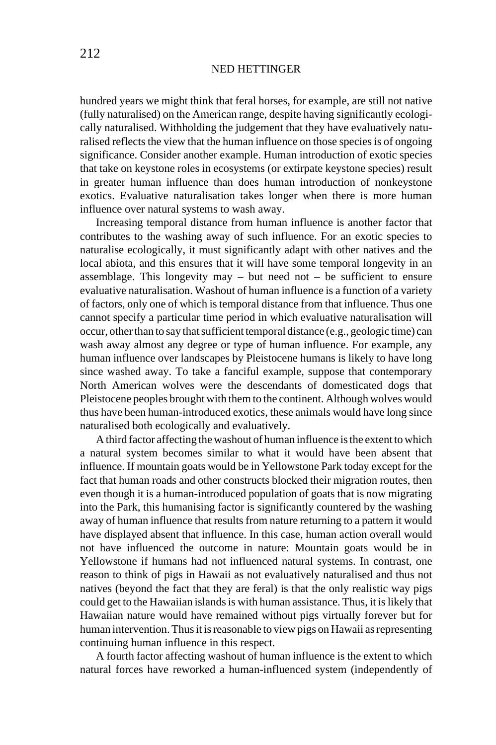hundred years we might think that feral horses, for example, are still not native (fully naturalised) on the American range, despite having significantly ecologically naturalised. Withholding the judgement that they have evaluatively naturalised reflects the view that the human influence on those species is of ongoing significance. Consider another example. Human introduction of exotic species that take on keystone roles in ecosystems (or extirpate keystone species) result in greater human influence than does human introduction of nonkeystone exotics. Evaluative naturalisation takes longer when there is more human influence over natural systems to wash away.

Increasing temporal distance from human influence is another factor that contributes to the washing away of such influence. For an exotic species to naturalise ecologically, it must significantly adapt with other natives and the local abiota, and this ensures that it will have some temporal longevity in an assemblage. This longevity may  $-$  but need not  $-$  be sufficient to ensure evaluative naturalisation. Washout of human influence is a function of a variety of factors, only one of which is temporal distance from that influence. Thus one cannot specify a particular time period in which evaluative naturalisation will occur, other than to say that sufficient temporal distance (e.g., geologic time) can wash away almost any degree or type of human influence. For example, any human influence over landscapes by Pleistocene humans is likely to have long since washed away. To take a fanciful example, suppose that contemporary North American wolves were the descendants of domesticated dogs that Pleistocene peoples brought with them to the continent. Although wolves would thus have been human-introduced exotics, these animals would have long since naturalised both ecologically and evaluatively.

A third factor affecting the washout of human influence is the extent to which a natural system becomes similar to what it would have been absent that influence. If mountain goats would be in Yellowstone Park today except for the fact that human roads and other constructs blocked their migration routes, then even though it is a human-introduced population of goats that is now migrating into the Park, this humanising factor is significantly countered by the washing away of human influence that results from nature returning to a pattern it would have displayed absent that influence. In this case, human action overall would not have influenced the outcome in nature: Mountain goats would be in Yellowstone if humans had not influenced natural systems. In contrast, one reason to think of pigs in Hawaii as not evaluatively naturalised and thus not natives (beyond the fact that they are feral) is that the only realistic way pigs could get to the Hawaiian islands is with human assistance. Thus, it is likely that Hawaiian nature would have remained without pigs virtually forever but for human intervention. Thus it is reasonable to view pigs on Hawaii as representing continuing human influence in this respect.

A fourth factor affecting washout of human influence is the extent to which natural forces have reworked a human-influenced system (independently of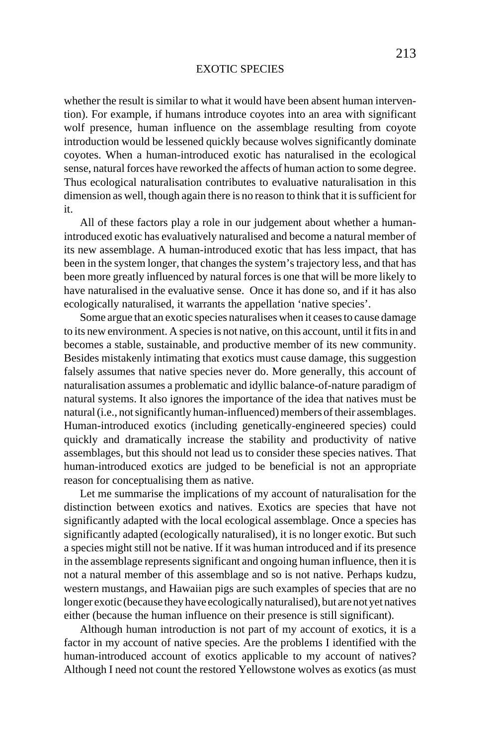whether the result is similar to what it would have been absent human intervention). For example, if humans introduce coyotes into an area with significant wolf presence, human influence on the assemblage resulting from coyote introduction would be lessened quickly because wolves significantly dominate coyotes. When a human-introduced exotic has naturalised in the ecological sense, natural forces have reworked the affects of human action to some degree. Thus ecological naturalisation contributes to evaluative naturalisation in this dimension as well, though again there is no reason to think that it is sufficient for it.

All of these factors play a role in our judgement about whether a humanintroduced exotic has evaluatively naturalised and become a natural member of its new assemblage. A human-introduced exotic that has less impact, that has been in the system longer, that changes the system's trajectory less, and that has been more greatly influenced by natural forces is one that will be more likely to have naturalised in the evaluative sense. Once it has done so, and if it has also ecologically naturalised, it warrants the appellation 'native species'.

Some argue that an exotic species naturalises when it ceases to cause damage to its new environment. A species is not native, on this account, until it fits in and becomes a stable, sustainable, and productive member of its new community. Besides mistakenly intimating that exotics must cause damage, this suggestion falsely assumes that native species never do. More generally, this account of naturalisation assumes a problematic and idyllic balance-of-nature paradigm of natural systems. It also ignores the importance of the idea that natives must be natural (i.e., not significantly human-influenced) members of their assemblages. Human-introduced exotics (including genetically-engineered species) could quickly and dramatically increase the stability and productivity of native assemblages, but this should not lead us to consider these species natives. That human-introduced exotics are judged to be beneficial is not an appropriate reason for conceptualising them as native.

Let me summarise the implications of my account of naturalisation for the distinction between exotics and natives. Exotics are species that have not significantly adapted with the local ecological assemblage. Once a species has significantly adapted (ecologically naturalised), it is no longer exotic. But such a species might still not be native. If it was human introduced and if its presence in the assemblage represents significant and ongoing human influence, then it is not a natural member of this assemblage and so is not native. Perhaps kudzu, western mustangs, and Hawaiian pigs are such examples of species that are no longer exotic (because they have ecologically naturalised), but are not yet natives either (because the human influence on their presence is still significant).

Although human introduction is not part of my account of exotics, it is a factor in my account of native species. Are the problems I identified with the human-introduced account of exotics applicable to my account of natives? Although I need not count the restored Yellowstone wolves as exotics (as must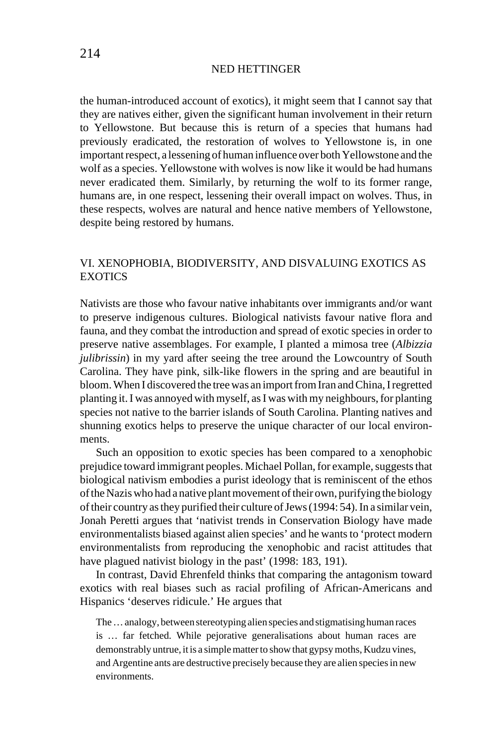the human-introduced account of exotics), it might seem that I cannot say that they are natives either, given the significant human involvement in their return to Yellowstone. But because this is return of a species that humans had previously eradicated, the restoration of wolves to Yellowstone is, in one important respect, a lessening of human influence over both Yellowstone and the wolf as a species. Yellowstone with wolves is now like it would be had humans never eradicated them. Similarly, by returning the wolf to its former range, humans are, in one respect, lessening their overall impact on wolves. Thus, in these respects, wolves are natural and hence native members of Yellowstone, despite being restored by humans.

# VI. XENOPHOBIA, BIODIVERSITY, AND DISVALUING EXOTICS AS **EXOTICS**

Nativists are those who favour native inhabitants over immigrants and/or want to preserve indigenous cultures. Biological nativists favour native flora and fauna, and they combat the introduction and spread of exotic species in order to preserve native assemblages. For example, I planted a mimosa tree (*Albizzia julibrissin*) in my yard after seeing the tree around the Lowcountry of South Carolina. They have pink, silk-like flowers in the spring and are beautiful in bloom. When I discovered the tree was an import from Iran and China, I regretted planting it. I was annoyed with myself, as I was with my neighbours, for planting species not native to the barrier islands of South Carolina. Planting natives and shunning exotics helps to preserve the unique character of our local environments.

Such an opposition to exotic species has been compared to a xenophobic prejudice toward immigrant peoples. Michael Pollan, for example, suggests that biological nativism embodies a purist ideology that is reminiscent of the ethos of the Nazis who had a native plant movement of their own, purifying the biology of their country as they purified their culture of Jews (1994: 54). In a similar vein, Jonah Peretti argues that 'nativist trends in Conservation Biology have made environmentalists biased against alien species' and he wants to 'protect modern environmentalists from reproducing the xenophobic and racist attitudes that have plagued nativist biology in the past' (1998: 183, 191).

In contrast, David Ehrenfeld thinks that comparing the antagonism toward exotics with real biases such as racial profiling of African-Americans and Hispanics 'deserves ridicule.' He argues that

The … analogy, between stereotyping alien species and stigmatising human races is … far fetched. While pejorative generalisations about human races are demonstrably untrue, it is a simple matter to show that gypsy moths, Kudzu vines, and Argentine ants are destructive precisely because they are alien species in new environments.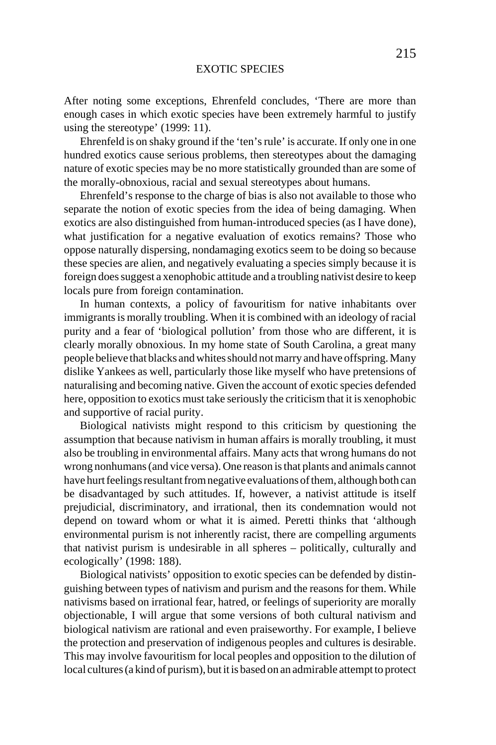After noting some exceptions, Ehrenfeld concludes, 'There are more than enough cases in which exotic species have been extremely harmful to justify using the stereotype' (1999: 11).

Ehrenfeld is on shaky ground if the 'ten's rule' is accurate. If only one in one hundred exotics cause serious problems, then stereotypes about the damaging nature of exotic species may be no more statistically grounded than are some of the morally-obnoxious, racial and sexual stereotypes about humans.

Ehrenfeld's response to the charge of bias is also not available to those who separate the notion of exotic species from the idea of being damaging. When exotics are also distinguished from human-introduced species (as I have done), what justification for a negative evaluation of exotics remains? Those who oppose naturally dispersing, nondamaging exotics seem to be doing so because these species are alien, and negatively evaluating a species simply because it is foreign does suggest a xenophobic attitude and a troubling nativist desire to keep locals pure from foreign contamination.

In human contexts, a policy of favouritism for native inhabitants over immigrants is morally troubling. When it is combined with an ideology of racial purity and a fear of 'biological pollution' from those who are different, it is clearly morally obnoxious. In my home state of South Carolina, a great many people believe that blacks and whites should not marry and have offspring. Many dislike Yankees as well, particularly those like myself who have pretensions of naturalising and becoming native. Given the account of exotic species defended here, opposition to exotics must take seriously the criticism that it is xenophobic and supportive of racial purity.

Biological nativists might respond to this criticism by questioning the assumption that because nativism in human affairs is morally troubling, it must also be troubling in environmental affairs. Many acts that wrong humans do not wrong nonhumans (and vice versa). One reason is that plants and animals cannot have hurt feelings resultant from negative evaluations of them, although both can be disadvantaged by such attitudes. If, however, a nativist attitude is itself prejudicial, discriminatory, and irrational, then its condemnation would not depend on toward whom or what it is aimed. Peretti thinks that 'although environmental purism is not inherently racist, there are compelling arguments that nativist purism is undesirable in all spheres – politically, culturally and ecologically' (1998: 188).

Biological nativists' opposition to exotic species can be defended by distinguishing between types of nativism and purism and the reasons for them. While nativisms based on irrational fear, hatred, or feelings of superiority are morally objectionable, I will argue that some versions of both cultural nativism and biological nativism are rational and even praiseworthy. For example, I believe the protection and preservation of indigenous peoples and cultures is desirable. This may involve favouritism for local peoples and opposition to the dilution of local cultures (a kind of purism), but it is based on an admirable attempt to protect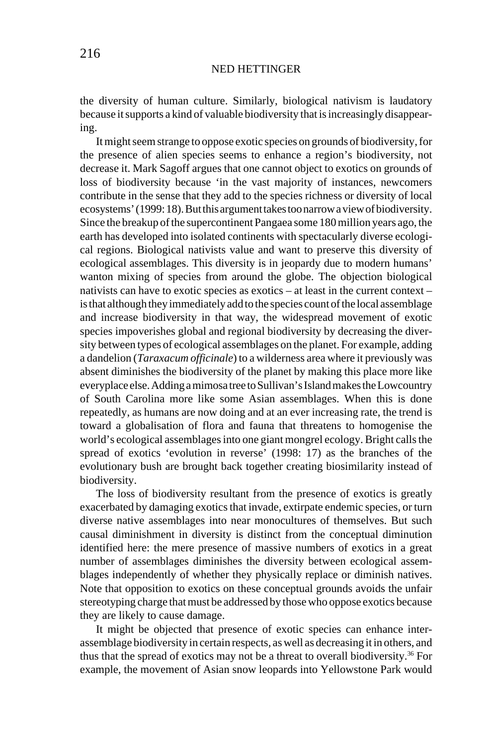the diversity of human culture. Similarly, biological nativism is laudatory because it supports a kind of valuable biodiversity that is increasingly disappearing.

It might seem strange to oppose exotic species on grounds of biodiversity, for the presence of alien species seems to enhance a region's biodiversity, not decrease it. Mark Sagoff argues that one cannot object to exotics on grounds of loss of biodiversity because 'in the vast majority of instances, newcomers contribute in the sense that they add to the species richness or diversity of local ecosystems' (1999: 18). But this argument takes too narrow a view of biodiversity. Since the breakup of the supercontinent Pangaea some 180 million years ago, the earth has developed into isolated continents with spectacularly diverse ecological regions. Biological nativists value and want to preserve this diversity of ecological assemblages. This diversity is in jeopardy due to modern humans' wanton mixing of species from around the globe. The objection biological nativists can have to exotic species as exotics – at least in the current context – is that although they immediately add to the species count of the local assemblage and increase biodiversity in that way, the widespread movement of exotic species impoverishes global and regional biodiversity by decreasing the diversity between types of ecological assemblages on the planet. For example, adding a dandelion (*Taraxacum officinale*) to a wilderness area where it previously was absent diminishes the biodiversity of the planet by making this place more like everyplace else. Adding a mimosa tree to Sullivan's Island makes the Lowcountry of South Carolina more like some Asian assemblages. When this is done repeatedly, as humans are now doing and at an ever increasing rate, the trend is toward a globalisation of flora and fauna that threatens to homogenise the world's ecological assemblages into one giant mongrel ecology. Bright calls the spread of exotics 'evolution in reverse' (1998: 17) as the branches of the evolutionary bush are brought back together creating biosimilarity instead of biodiversity.

The loss of biodiversity resultant from the presence of exotics is greatly exacerbated by damaging exotics that invade, extirpate endemic species, or turn diverse native assemblages into near monocultures of themselves. But such causal diminishment in diversity is distinct from the conceptual diminution identified here: the mere presence of massive numbers of exotics in a great number of assemblages diminishes the diversity between ecological assemblages independently of whether they physically replace or diminish natives. Note that opposition to exotics on these conceptual grounds avoids the unfair stereotyping charge that must be addressed by those who oppose exotics because they are likely to cause damage.

It might be objected that presence of exotic species can enhance interassemblage biodiversity in certain respects, as well as decreasing it in others, and thus that the spread of exotics may not be a threat to overall biodiversity.36 For example, the movement of Asian snow leopards into Yellowstone Park would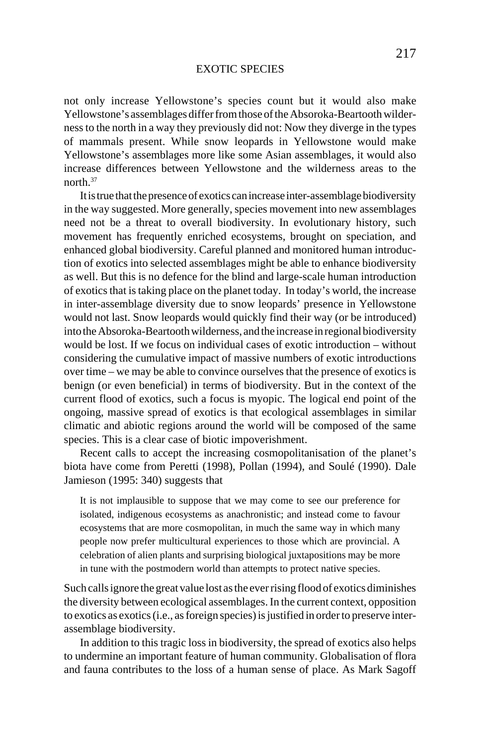not only increase Yellowstone's species count but it would also make Yellowstone's assemblages differ from those of the Absoroka-Beartooth wilderness to the north in a way they previously did not: Now they diverge in the types of mammals present. While snow leopards in Yellowstone would make Yellowstone's assemblages more like some Asian assemblages, it would also increase differences between Yellowstone and the wilderness areas to the north<sup>37</sup>

It is true that the presence of exotics can increase inter-assemblage biodiversity in the way suggested. More generally, species movement into new assemblages need not be a threat to overall biodiversity. In evolutionary history, such movement has frequently enriched ecosystems, brought on speciation, and enhanced global biodiversity. Careful planned and monitored human introduction of exotics into selected assemblages might be able to enhance biodiversity as well. But this is no defence for the blind and large-scale human introduction of exotics that is taking place on the planet today. In today's world, the increase in inter-assemblage diversity due to snow leopards' presence in Yellowstone would not last. Snow leopards would quickly find their way (or be introduced) into the Absoroka-Beartooth wilderness, and the increase in regional biodiversity would be lost. If we focus on individual cases of exotic introduction – without considering the cumulative impact of massive numbers of exotic introductions over time – we may be able to convince ourselves that the presence of exotics is benign (or even beneficial) in terms of biodiversity. But in the context of the current flood of exotics, such a focus is myopic. The logical end point of the ongoing, massive spread of exotics is that ecological assemblages in similar climatic and abiotic regions around the world will be composed of the same species. This is a clear case of biotic impoverishment.

Recent calls to accept the increasing cosmopolitanisation of the planet's biota have come from Peretti (1998), Pollan (1994), and Soulé (1990). Dale Jamieson (1995: 340) suggests that

It is not implausible to suppose that we may come to see our preference for isolated, indigenous ecosystems as anachronistic; and instead come to favour ecosystems that are more cosmopolitan, in much the same way in which many people now prefer multicultural experiences to those which are provincial. A celebration of alien plants and surprising biological juxtapositions may be more in tune with the postmodern world than attempts to protect native species.

Such calls ignore the great value lost as the ever rising flood of exotics diminishes the diversity between ecological assemblages. In the current context, opposition to exotics as exotics (i.e., as foreign species) is justified in order to preserve interassemblage biodiversity.

In addition to this tragic loss in biodiversity, the spread of exotics also helps to undermine an important feature of human community. Globalisation of flora and fauna contributes to the loss of a human sense of place. As Mark Sagoff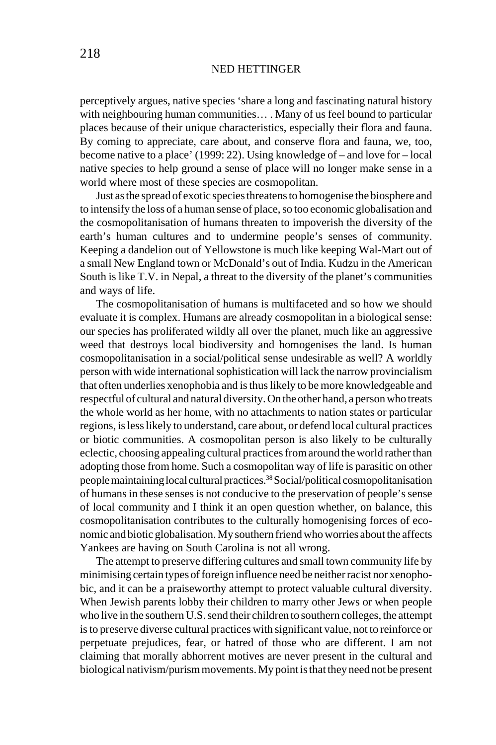perceptively argues, native species 'share a long and fascinating natural history with neighbouring human communities... . Many of us feel bound to particular places because of their unique characteristics, especially their flora and fauna. By coming to appreciate, care about, and conserve flora and fauna, we, too, become native to a place' (1999: 22). Using knowledge of – and love for – local native species to help ground a sense of place will no longer make sense in a world where most of these species are cosmopolitan.

Just as the spread of exotic species threatens to homogenise the biosphere and to intensify the loss of a human sense of place, so too economic globalisation and the cosmopolitanisation of humans threaten to impoverish the diversity of the earth's human cultures and to undermine people's senses of community. Keeping a dandelion out of Yellowstone is much like keeping Wal-Mart out of a small New England town or McDonald's out of India. Kudzu in the American South is like T.V. in Nepal, a threat to the diversity of the planet's communities and ways of life.

The cosmopolitanisation of humans is multifaceted and so how we should evaluate it is complex. Humans are already cosmopolitan in a biological sense: our species has proliferated wildly all over the planet, much like an aggressive weed that destroys local biodiversity and homogenises the land. Is human cosmopolitanisation in a social/political sense undesirable as well? A worldly person with wide international sophistication will lack the narrow provincialism that often underlies xenophobia and is thus likely to be more knowledgeable and respectful of cultural and natural diversity. On the other hand, a person who treats the whole world as her home, with no attachments to nation states or particular regions, is less likely to understand, care about, or defend local cultural practices or biotic communities. A cosmopolitan person is also likely to be culturally eclectic, choosing appealing cultural practices from around the world rather than adopting those from home. Such a cosmopolitan way of life is parasitic on other people maintaining local cultural practices.38 Social/political cosmopolitanisation of humans in these senses is not conducive to the preservation of people's sense of local community and I think it an open question whether, on balance, this cosmopolitanisation contributes to the culturally homogenising forces of economic and biotic globalisation. My southern friend who worries about the affects Yankees are having on South Carolina is not all wrong.

The attempt to preserve differing cultures and small town community life by minimising certain types of foreign influence need be neither racist nor xenophobic, and it can be a praiseworthy attempt to protect valuable cultural diversity. When Jewish parents lobby their children to marry other Jews or when people who live in the southern U.S. send their children to southern colleges, the attempt is to preserve diverse cultural practices with significant value, not to reinforce or perpetuate prejudices, fear, or hatred of those who are different. I am not claiming that morally abhorrent motives are never present in the cultural and biological nativism/purism movements. My point is that they need not be present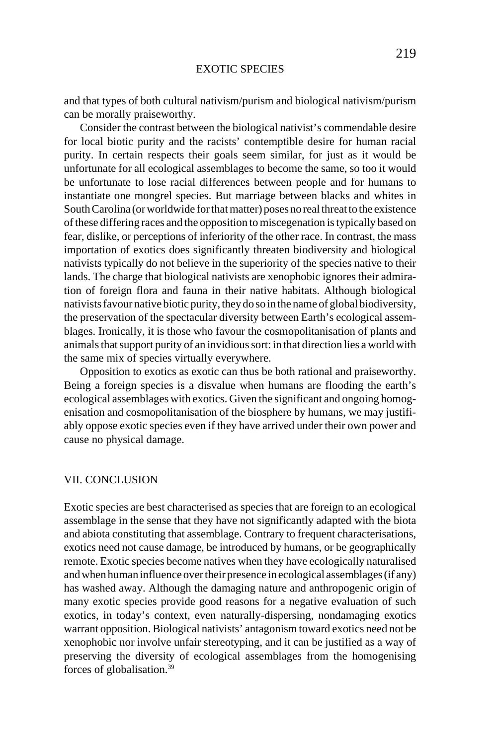and that types of both cultural nativism/purism and biological nativism/purism can be morally praiseworthy.

Consider the contrast between the biological nativist's commendable desire for local biotic purity and the racists' contemptible desire for human racial purity. In certain respects their goals seem similar, for just as it would be unfortunate for all ecological assemblages to become the same, so too it would be unfortunate to lose racial differences between people and for humans to instantiate one mongrel species. But marriage between blacks and whites in South Carolina (or worldwide for that matter) poses no real threat to the existence of these differing races and the opposition to miscegenation is typically based on fear, dislike, or perceptions of inferiority of the other race. In contrast, the mass importation of exotics does significantly threaten biodiversity and biological nativists typically do not believe in the superiority of the species native to their lands. The charge that biological nativists are xenophobic ignores their admiration of foreign flora and fauna in their native habitats. Although biological nativists favour native biotic purity, they do so in the name of global biodiversity, the preservation of the spectacular diversity between Earth's ecological assemblages. Ironically, it is those who favour the cosmopolitanisation of plants and animals that support purity of an invidious sort: in that direction lies a world with the same mix of species virtually everywhere.

Opposition to exotics as exotic can thus be both rational and praiseworthy. Being a foreign species is a disvalue when humans are flooding the earth's ecological assemblages with exotics. Given the significant and ongoing homogenisation and cosmopolitanisation of the biosphere by humans, we may justifiably oppose exotic species even if they have arrived under their own power and cause no physical damage.

# VII. CONCLUSION

Exotic species are best characterised as species that are foreign to an ecological assemblage in the sense that they have not significantly adapted with the biota and abiota constituting that assemblage. Contrary to frequent characterisations, exotics need not cause damage, be introduced by humans, or be geographically remote. Exotic species become natives when they have ecologically naturalised and when human influence over their presence in ecological assemblages (if any) has washed away. Although the damaging nature and anthropogenic origin of many exotic species provide good reasons for a negative evaluation of such exotics, in today's context, even naturally-dispersing, nondamaging exotics warrant opposition. Biological nativists' antagonism toward exotics need not be xenophobic nor involve unfair stereotyping, and it can be justified as a way of preserving the diversity of ecological assemblages from the homogenising forces of globalisation.39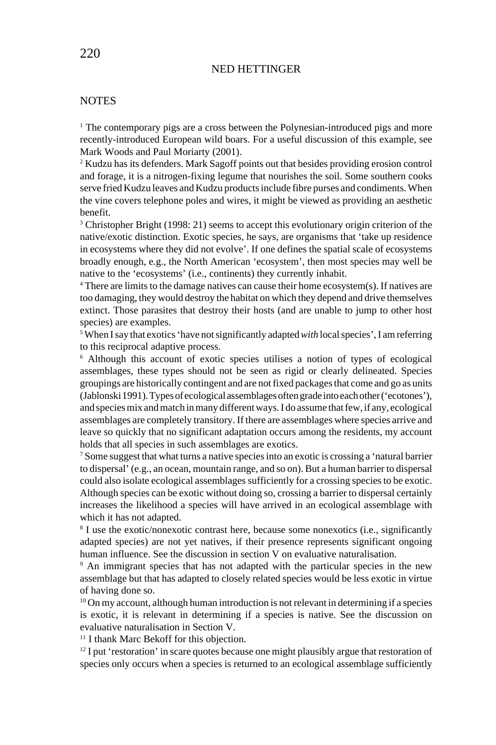# **NOTES**

<sup>1</sup> The contemporary pigs are a cross between the Polynesian-introduced pigs and more recently-introduced European wild boars. For a useful discussion of this example, see Mark Woods and Paul Moriarty (2001).

<sup>2</sup> Kudzu has its defenders. Mark Sagoff points out that besides providing erosion control and forage, it is a nitrogen-fixing legume that nourishes the soil. Some southern cooks serve fried Kudzu leaves and Kudzu products include fibre purses and condiments. When the vine covers telephone poles and wires, it might be viewed as providing an aesthetic benefit.

<sup>3</sup> Christopher Bright (1998: 21) seems to accept this evolutionary origin criterion of the native/exotic distinction. Exotic species, he says, are organisms that 'take up residence in ecosystems where they did not evolve'. If one defines the spatial scale of ecosystems broadly enough, e.g., the North American 'ecosystem', then most species may well be native to the 'ecosystems' (i.e., continents) they currently inhabit.

<sup>4</sup> There are limits to the damage natives can cause their home ecosystem(s). If natives are too damaging, they would destroy the habitat on which they depend and drive themselves extinct. Those parasites that destroy their hosts (and are unable to jump to other host species) are examples.

5 When I say that exotics 'have not significantly adapted *with* local species', I am referring to this reciprocal adaptive process.

6 Although this account of exotic species utilises a notion of types of ecological assemblages, these types should not be seen as rigid or clearly delineated. Species groupings are historically contingent and are not fixed packages that come and go as units (Jablonski 1991). Types of ecological assemblages often grade into each other ('ecotones'), and species mix and match in many different ways. I do assume that few, if any, ecological assemblages are completely transitory. If there are assemblages where species arrive and leave so quickly that no significant adaptation occurs among the residents, my account holds that all species in such assemblages are exotics.

7 Some suggest that what turns a native species into an exotic is crossing a 'natural barrier to dispersal' (e.g., an ocean, mountain range, and so on). But a human barrier to dispersal could also isolate ecological assemblages sufficiently for a crossing species to be exotic. Although species can be exotic without doing so, crossing a barrier to dispersal certainly increases the likelihood a species will have arrived in an ecological assemblage with which it has not adapted.

<sup>8</sup> I use the exotic/nonexotic contrast here, because some nonexotics (i.e., significantly adapted species) are not yet natives, if their presence represents significant ongoing human influence. See the discussion in section V on evaluative naturalisation.

9 An immigrant species that has not adapted with the particular species in the new assemblage but that has adapted to closely related species would be less exotic in virtue of having done so.

 $10$  On my account, although human introduction is not relevant in determining if a species is exotic, it is relevant in determining if a species is native. See the discussion on evaluative naturalisation in Section V.

<sup>11</sup> I thank Marc Bekoff for this objection.

<sup>12</sup> I put 'restoration' in scare quotes because one might plausibly argue that restoration of species only occurs when a species is returned to an ecological assemblage sufficiently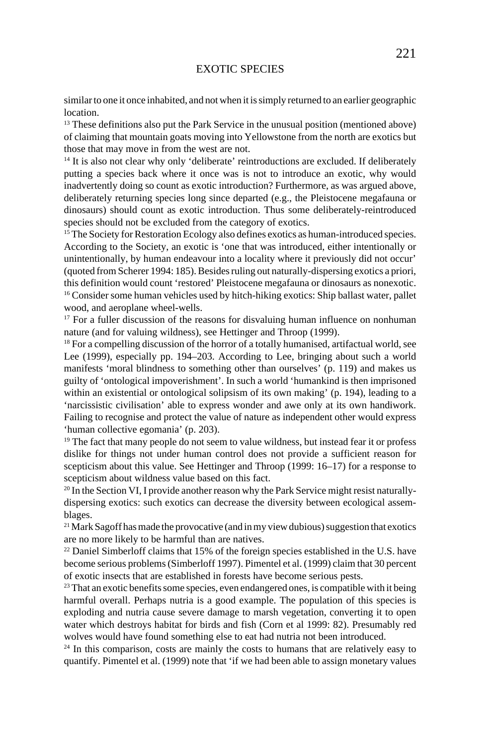similar to one it once inhabited, and not when it is simply returned to an earlier geographic location.

<sup>13</sup> These definitions also put the Park Service in the unusual position (mentioned above) of claiming that mountain goats moving into Yellowstone from the north are exotics but those that may move in from the west are not.

<sup>14</sup> It is also not clear why only 'deliberate' reintroductions are excluded. If deliberately putting a species back where it once was is not to introduce an exotic, why would inadvertently doing so count as exotic introduction? Furthermore, as was argued above, deliberately returning species long since departed (e.g., the Pleistocene megafauna or dinosaurs) should count as exotic introduction. Thus some deliberately-reintroduced species should not be excluded from the category of exotics.

<sup>15</sup> The Society for Restoration Ecology also defines exotics as human-introduced species. According to the Society, an exotic is 'one that was introduced, either intentionally or unintentionally, by human endeavour into a locality where it previously did not occur' (quoted from Scherer 1994: 185). Besides ruling out naturally-dispersing exotics a priori, this definition would count 'restored' Pleistocene megafauna or dinosaurs as nonexotic. <sup>16</sup> Consider some human vehicles used by hitch-hiking exotics: Ship ballast water, pallet wood, and aeroplane wheel-wells.

<sup>17</sup> For a fuller discussion of the reasons for disvaluing human influence on nonhuman nature (and for valuing wildness), see Hettinger and Throop (1999).

<sup>18</sup> For a compelling discussion of the horror of a totally humanised, artifactual world, see Lee (1999), especially pp. 194–203. According to Lee, bringing about such a world manifests 'moral blindness to something other than ourselves' (p. 119) and makes us guilty of 'ontological impoverishment'. In such a world 'humankind is then imprisoned within an existential or ontological solipsism of its own making' (p. 194), leading to a 'narcissistic civilisation' able to express wonder and awe only at its own handiwork. Failing to recognise and protect the value of nature as independent other would express 'human collective egomania' (p. 203).

<sup>19</sup> The fact that many people do not seem to value wildness, but instead fear it or profess dislike for things not under human control does not provide a sufficient reason for scepticism about this value. See Hettinger and Throop (1999: 16–17) for a response to scepticism about wildness value based on this fact.

<sup>20</sup> In the Section VI, I provide another reason why the Park Service might resist naturallydispersing exotics: such exotics can decrease the diversity between ecological assemblages.

 $21$  Mark Sagoff has made the provocative (and in my view dubious) suggestion that exotics are no more likely to be harmful than are natives.

 $22$  Daniel Simberloff claims that 15% of the foreign species established in the U.S. have become serious problems (Simberloff 1997). Pimentel et al. (1999) claim that 30 percent of exotic insects that are established in forests have become serious pests.

 $23$  That an exotic benefits some species, even endangered ones, is compatible with it being harmful overall. Perhaps nutria is a good example. The population of this species is exploding and nutria cause severe damage to marsh vegetation, converting it to open water which destroys habitat for birds and fish (Corn et al 1999: 82). Presumably red wolves would have found something else to eat had nutria not been introduced.

 $24$  In this comparison, costs are mainly the costs to humans that are relatively easy to quantify. Pimentel et al. (1999) note that 'if we had been able to assign monetary values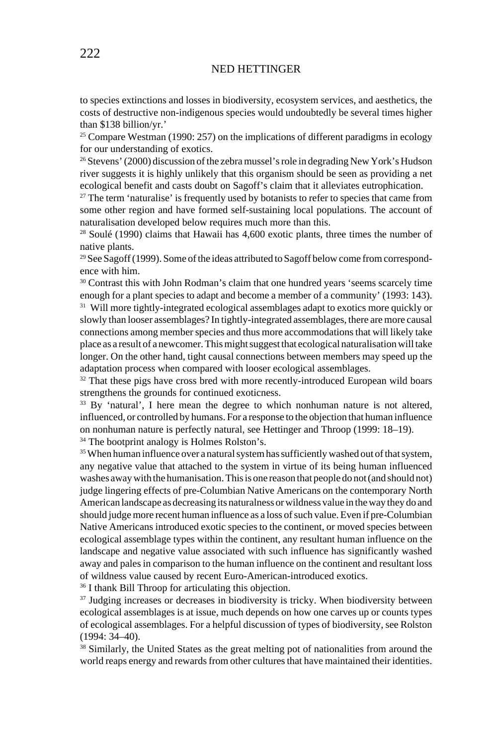to species extinctions and losses in biodiversity, ecosystem services, and aesthetics, the costs of destructive non-indigenous species would undoubtedly be several times higher than \$138 billion/yr.'

<sup>25</sup> Compare Westman (1990: 257) on the implications of different paradigms in ecology for our understanding of exotics.

26 Stevens' (2000) discussion of the zebra mussel's role in degrading New York's Hudson river suggests it is highly unlikely that this organism should be seen as providing a net ecological benefit and casts doubt on Sagoff's claim that it alleviates eutrophication.

 $27$  The term 'naturalise' is frequently used by botanists to refer to species that came from some other region and have formed self-sustaining local populations. The account of naturalisation developed below requires much more than this.

28 Soulé (1990) claims that Hawaii has 4,600 exotic plants, three times the number of native plants.

<sup>29</sup> See Sagoff (1999). Some of the ideas attributed to Sagoff below come from correspondence with him.

<sup>30</sup> Contrast this with John Rodman's claim that one hundred years 'seems scarcely time enough for a plant species to adapt and become a member of a community' (1993: 143).

<sup>31</sup> Will more tightly-integrated ecological assemblages adapt to exotics more quickly or slowly than looser assemblages? In tightly-integrated assemblages, there are more causal connections among member species and thus more accommodations that will likely take place as a result of a newcomer. This might suggest that ecological naturalisation will take longer. On the other hand, tight causal connections between members may speed up the adaptation process when compared with looser ecological assemblages.

<sup>32</sup> That these pigs have cross bred with more recently-introduced European wild boars strengthens the grounds for continued exoticness.

<sup>33</sup> By 'natural', I here mean the degree to which nonhuman nature is not altered, influenced, or controlled by humans. For a response to the objection that human influence on nonhuman nature is perfectly natural, see Hettinger and Throop (1999: 18–19).

<sup>34</sup> The bootprint analogy is Holmes Rolston's.

<sup>35</sup> When human influence over a natural system has sufficiently washed out of that system, any negative value that attached to the system in virtue of its being human influenced washes away with the humanisation. This is one reason that people do not (and should not) judge lingering effects of pre-Columbian Native Americans on the contemporary North American landscape as decreasing its naturalness or wildness value in the way they do and should judge more recent human influence as a loss of such value. Even if pre-Columbian Native Americans introduced exotic species to the continent, or moved species between ecological assemblage types within the continent, any resultant human influence on the landscape and negative value associated with such influence has significantly washed away and pales in comparison to the human influence on the continent and resultant loss of wildness value caused by recent Euro-American-introduced exotics.

36 I thank Bill Throop for articulating this objection.

<sup>37</sup> Judging increases or decreases in biodiversity is tricky. When biodiversity between ecological assemblages is at issue, much depends on how one carves up or counts types of ecological assemblages. For a helpful discussion of types of biodiversity, see Rolston (1994: 34–40).

<sup>38</sup> Similarly, the United States as the great melting pot of nationalities from around the world reaps energy and rewards from other cultures that have maintained their identities.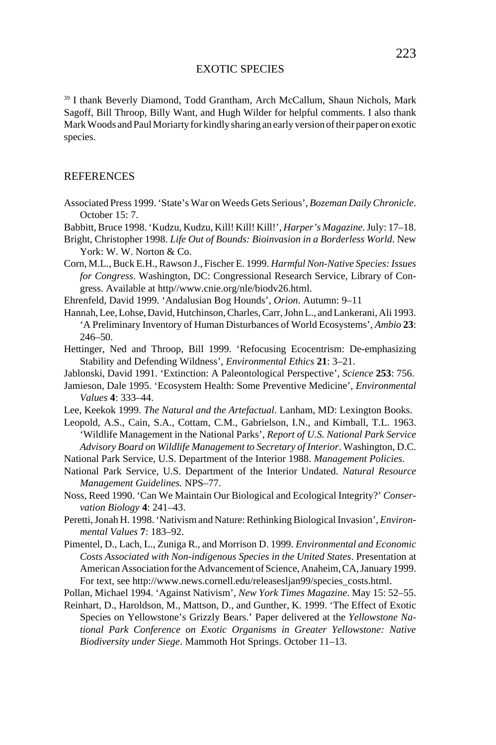39 I thank Beverly Diamond, Todd Grantham, Arch McCallum, Shaun Nichols, Mark Sagoff, Bill Throop, Billy Want, and Hugh Wilder for helpful comments. I also thank Mark Woods and Paul Moriarty for kindly sharing an early version of their paper on exotic species.

# **REFERENCES**

- Associated Press 1999. 'State's War on Weeds Gets Serious', *Bozeman Daily Chronicle*. October 15: 7.
- Babbitt, Bruce 1998. 'Kudzu, Kudzu, Kill! Kill! Kill!', *Harper's Magazine*. July: 17–18.
- Bright, Christopher 1998. *Life Out of Bounds: Bioinvasion in a Borderless World*. New York: W. W. Norton & Co.
- Corn, M.L., Buck E.H., Rawson J., Fischer E. 1999. *Harmful Non-Native Species: Issues for Congress*. Washington, DC: Congressional Research Service, Library of Congress. Available at http//www.cnie.org/nle/biodv26.html.
- Ehrenfeld, David 1999. 'Andalusian Bog Hounds', *Orion*. Autumn: 9–11
- Hannah, Lee, Lohse, David, Hutchinson, Charles, Carr, John L., and Lankerani, Ali 1993. 'A Preliminary Inventory of Human Disturbances of World Ecosystems', *Ambio* **23**: 246–50.
- Hettinger, Ned and Throop, Bill 1999. 'Refocusing Ecocentrism: De-emphasizing Stability and Defending Wildness', *Environmental Ethics* **21**: 3–21.
- Jablonski, David 1991. 'Extinction: A Paleontological Perspective', *Science* **253**: 756.
- Jamieson, Dale 1995. 'Ecosystem Health: Some Preventive Medicine', *Environmental Values* **4**: 333–44.
- Lee, Keekok 1999. *The Natural and the Artefactual*. Lanham, MD: Lexington Books.
- Leopold, A.S., Cain, S.A., Cottam, C.M., Gabrielson, I.N., and Kimball, T.L. 1963. 'Wildlife Management in the National Parks', *Report of U.S. National Park Service Advisory Board on Wildlife Management to Secretary of Interior*. Washington, D.C.

National Park Service, U.S. Department of the Interior 1988. *Management Policies*.

- National Park Service, U.S. Department of the Interior Undated. *Natural Resource Management Guidelines.* NPS–77.
- Noss, Reed 1990. 'Can We Maintain Our Biological and Ecological Integrity?' *Conservation Biology* **4**: 241–43.
- Peretti, Jonah H. 1998. 'Nativism and Nature: Rethinking Biological Invasion', *Environmental Values* **7**: 183–92.
- Pimentel, D., Lach, L., Zuniga R., and Morrison D. 1999. *Environmental and Economic Costs Associated with Non-indigenous Species in the United States*. Presentation at American Association for the Advancement of Science, Anaheim, CA, January 1999. For text, see http://www.news.cornell.edu/releasesljan99/species\_costs.html.
- Pollan, Michael 1994. 'Against Nativism', *New York Times Magazine*. May 15: 52–55.
- Reinhart, D., Haroldson, M., Mattson, D., and Gunther, K. 1999. 'The Effect of Exotic Species on Yellowstone's Grizzly Bears.' Paper delivered at the *Yellowstone National Park Conference on Exotic Organisms in Greater Yellowstone: Native Biodiversity under Siege*. Mammoth Hot Springs. October 11–13.